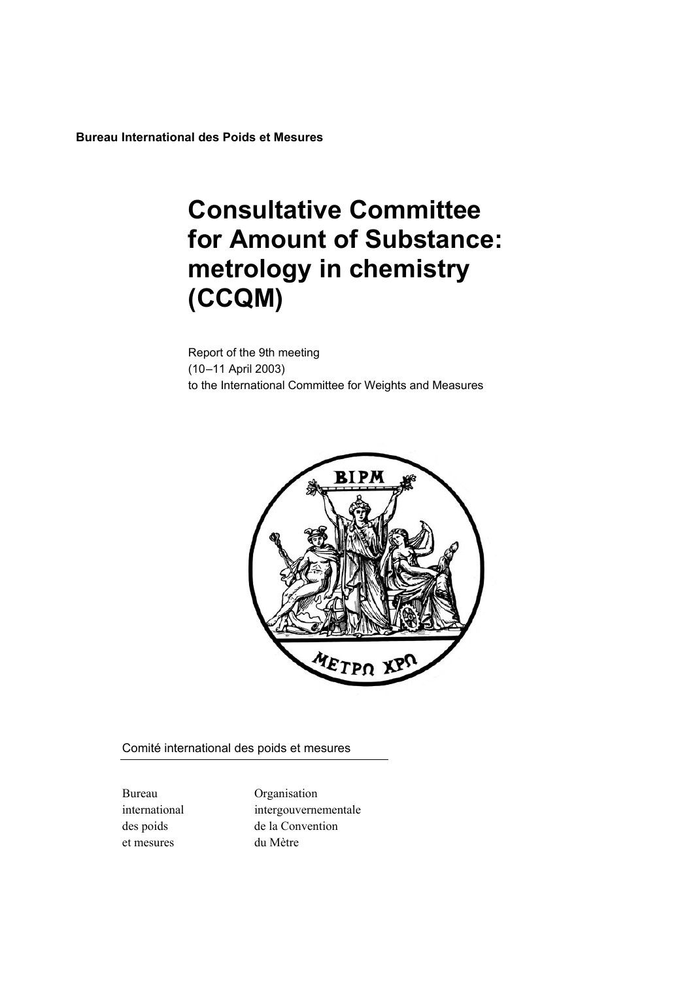**Bureau International des Poids et Mesures**

# **Consultative Committee for Amount of Substance: metrology in chemistry (CCQM)**

Report of the 9th meeting (10-11 April 2003) to the International Committee for Weights and Measures



Comité international des poids et mesures

et mesures du MËtre

Bureau Organisation international intergouvernementale des poids de la Convention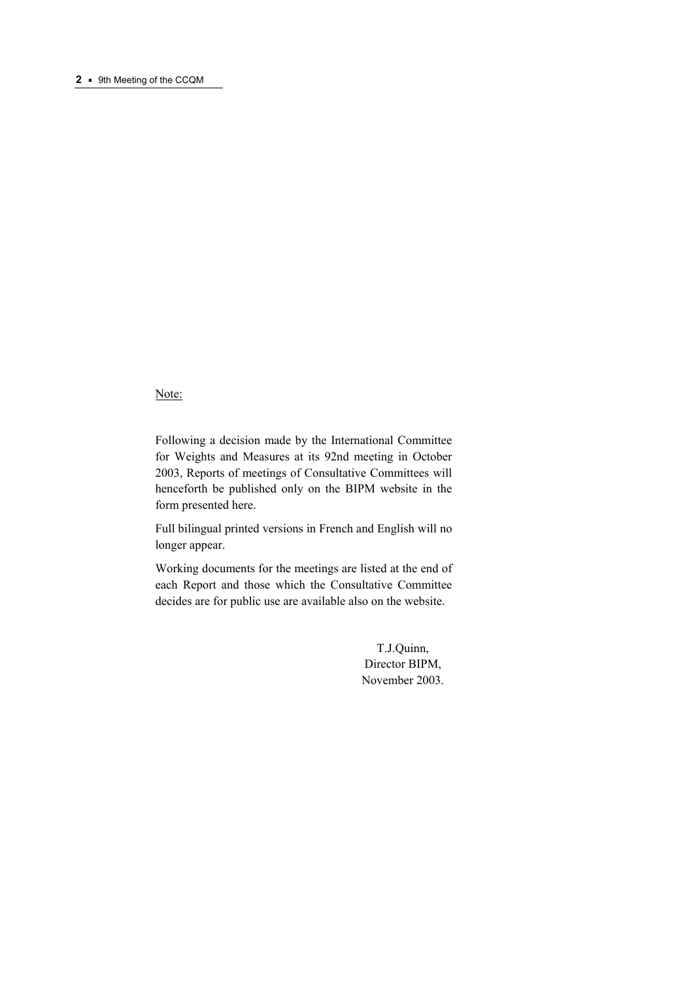# Note:

Following a decision made by the International Committee for Weights and Measures at its 92nd meeting in October 2003, Reports of meetings of Consultative Committees will henceforth be published only on the BIPM website in the form presented here.

Full bilingual printed versions in French and English will no longer appear.

Working documents for the meetings are listed at the end of each Report and those which the Consultative Committee decides are for public use are available also on the website.

> T.J.Quinn, Director BIPM, November 2003.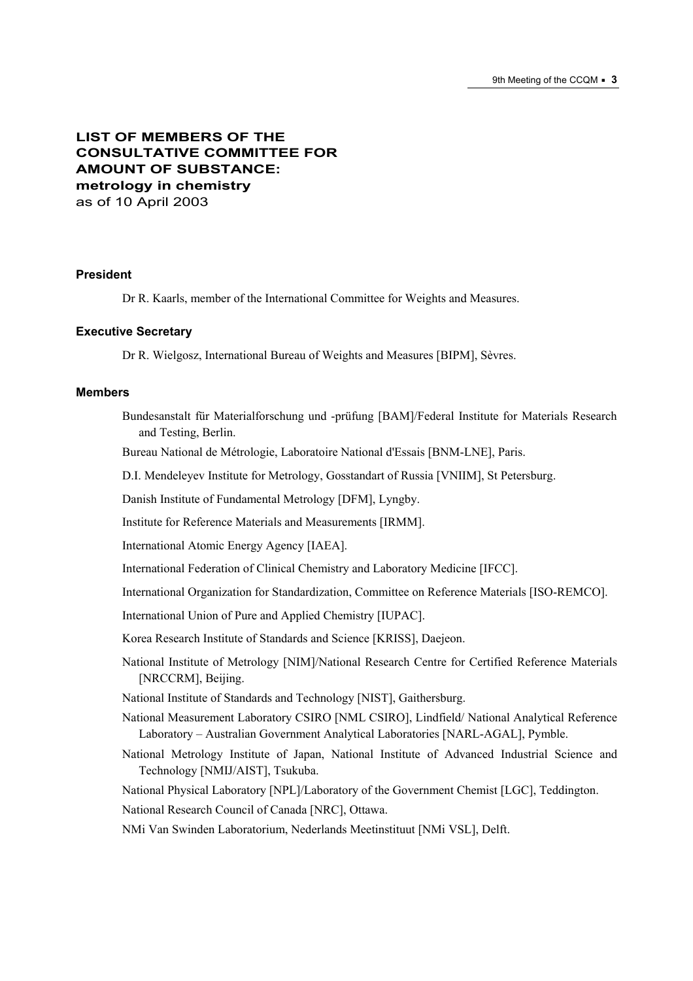# **LIST OF MEMBERS OF THE CONSULTATIVE COMMITTEE FOR AMOUNT OF SUBSTANCE: metrology in chemistry** as of 10 April 2003

#### **President**

Dr R. Kaarls, member of the International Committee for Weights and Measures.

#### **Executive Secretary**

Dr R. Wielgosz, International Bureau of Weights and Measures [BIPM], Sèvres.

#### **Members**

Bundesanstalt für Materialforschung und -prüfung [BAM]/Federal Institute for Materials Research and Testing, Berlin.

Bureau National de MÈtrologie, Laboratoire National d'Essais [BNM-LNE], Paris.

D.I. Mendeleyev Institute for Metrology, Gosstandart of Russia [VNIIM], St Petersburg.

Danish Institute of Fundamental Metrology [DFM], Lyngby.

Institute for Reference Materials and Measurements [IRMM].

International Atomic Energy Agency [IAEA].

International Federation of Clinical Chemistry and Laboratory Medicine [IFCC].

International Organization for Standardization, Committee on Reference Materials [ISO-REMCO].

International Union of Pure and Applied Chemistry [IUPAC].

Korea Research Institute of Standards and Science [KRISS], Daejeon.

National Institute of Metrology [NIM]/National Research Centre for Certified Reference Materials [NRCCRM], Beijing.

National Institute of Standards and Technology [NIST], Gaithersburg.

National Measurement Laboratory CSIRO [NML CSIRO], Lindfield/ National Analytical Reference Laboratory - Australian Government Analytical Laboratories [NARL-AGAL], Pymble.

National Metrology Institute of Japan, National Institute of Advanced Industrial Science and Technology [NMIJ/AIST], Tsukuba.

National Physical Laboratory [NPL]/Laboratory of the Government Chemist [LGC], Teddington.

National Research Council of Canada [NRC], Ottawa.

NMi Van Swinden Laboratorium, Nederlands Meetinstituut [NMi VSL], Delft.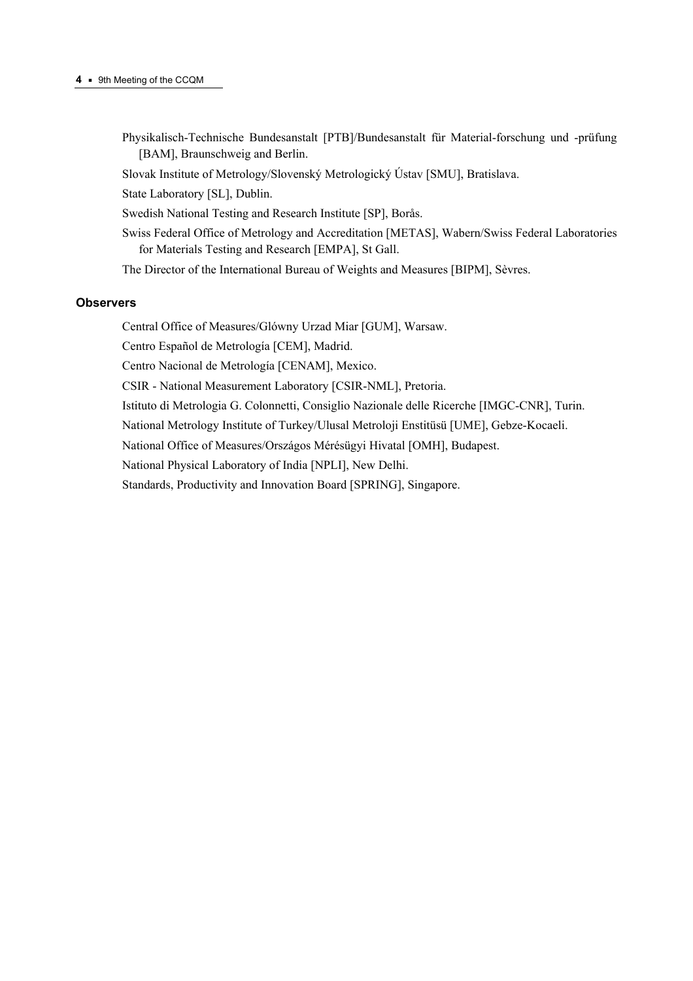- Physikalisch-Technische Bundesanstalt [PTB]/Bundesanstalt für Material-forschung und -prüfung [BAM], Braunschweig and Berlin.
- Slovak Institute of Metrology/Slovenský Metrologický Ústav [SMU], Bratislava.
- State Laboratory [SL], Dublin.
- Swedish National Testing and Research Institute [SP], Borås.
- Swiss Federal Office of Metrology and Accreditation [METAS], Wabern/Swiss Federal Laboratories for Materials Testing and Research [EMPA], St Gall.
- The Director of the International Bureau of Weights and Measures [BIPM], Sèvres.

## **Observers**

Central Office of Measures/Glόwny Urzad Miar [GUM], Warsaw.

Centro Español de Metrología [CEM], Madrid.

Centro Nacional de Metrología [CENAM], Mexico.

CSIR - National Measurement Laboratory [CSIR-NML], Pretoria.

Istituto di Metrologia G. Colonnetti, Consiglio Nazionale delle Ricerche [IMGC-CNR], Turin.

National Metrology Institute of Turkey/Ulusal Metroloji Enstitüsü [UME], Gebze-Kocaeli.

National Office of Measures/Országos Mérésügyi Hivatal [OMH], Budapest.

National Physical Laboratory of India [NPLI], New Delhi.

Standards, Productivity and Innovation Board [SPRING], Singapore.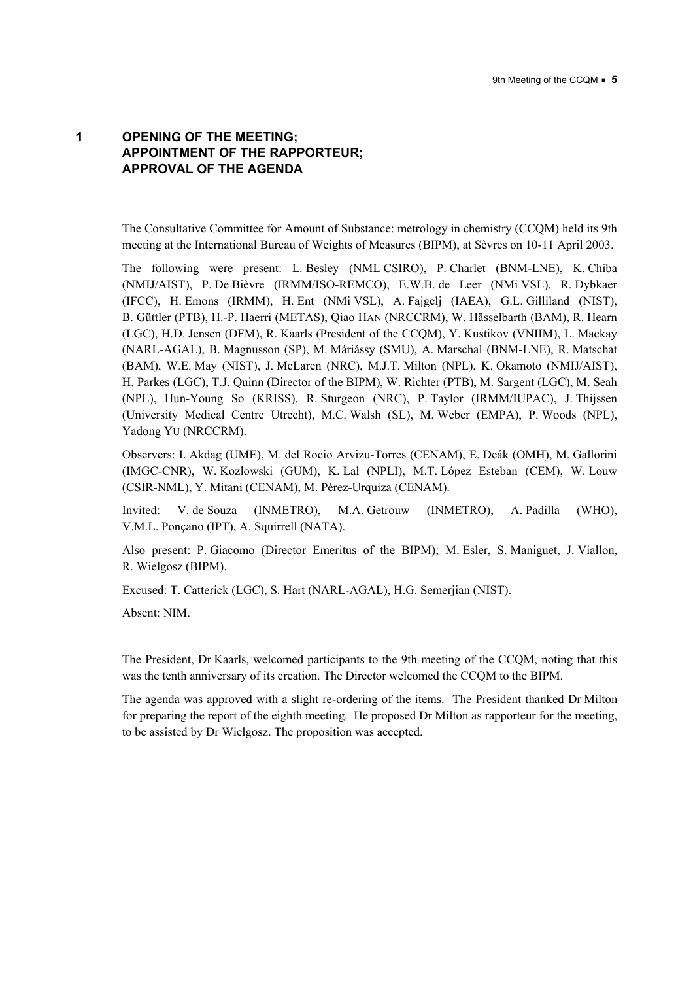# **1 OPENING OF THE MEETING; APPOINTMENT OF THE RAPPORTEUR; APPROVAL OF THE AGENDA**

The Consultative Committee for Amount of Substance: metrology in chemistry (CCQM) held its 9th meeting at the International Bureau of Weights of Measures (BIPM), at Sèvres on 10-11 April 2003.

The following were present: L. Besley (NML CSIRO), P. Charlet (BNM-LNE), K. Chiba (NMIJ/AIST), P. De BiËvre (IRMM/ISO-REMCO), E.W.B. de Leer (NMi VSL), R. Dybkaer (IFCC), H. Emons (IRMM), H. Ent (NMi VSL), A. Fajgelj (IAEA), G.L. Gilliland (NIST), B. Güttler (PTB), H.-P. Haerri (METAS), Qiao HAN (NRCCRM), W. Hässelbarth (BAM), R. Hearn (LGC), H.D. Jensen (DFM), R. Kaarls (President of the CCQM), Y. Kustikov (VNIIM), L. Mackay (NARL-AGAL), B. Magnusson (SP), M. Máriássy (SMU), A. Marschal (BNM-LNE), R. Matschat (BAM), W.E. May (NIST), J. McLaren (NRC), M.J.T. Milton (NPL), K. Okamoto (NMIJ/AIST), H. Parkes (LGC), T.J. Quinn (Director of the BIPM), W. Richter (PTB), M. Sargent (LGC), M. Seah (NPL), Hun-Young So (KRISS), R. Sturgeon (NRC), P. Taylor (IRMM/IUPAC), J. Thijssen (University Medical Centre Utrecht), M.C. Walsh (SL), M. Weber (EMPA), P. Woods (NPL), Yadong YU (NRCCRM).

Observers: I. Akdag (UME), M. del Rocio Arvizu-Torres (CENAM), E. Deák (OMH), M. Gallorini (IMGC-CNR), W. Kozlowski (GUM), K. Lal (NPLI), M.T. López Esteban (CEM), W. Louw (CSIR-NML), Y. Mitani (CENAM), M. PÈrez-Urquiza (CENAM).

Invited: V. de Souza (INMETRO), M.A. Getrouw (INMETRO), A. Padilla (WHO), V.M.L. Ponçano (IPT), A. Squirrell (NATA).

Also present: P. Giacomo (Director Emeritus of the BIPM); M. Esler, S. Maniguet, J. Viallon, R. Wielgosz (BIPM).

Excused: T. Catterick (LGC), S. Hart (NARL-AGAL), H.G. Semerjian (NIST).

Absent: NIM.

The President, Dr Kaarls, welcomed participants to the 9th meeting of the CCQM, noting that this was the tenth anniversary of its creation. The Director welcomed the CCQM to the BIPM.

The agenda was approved with a slight re-ordering of the items. The President thanked Dr Milton for preparing the report of the eighth meeting. He proposed Dr Milton as rapporteur for the meeting, to be assisted by Dr Wielgosz. The proposition was accepted.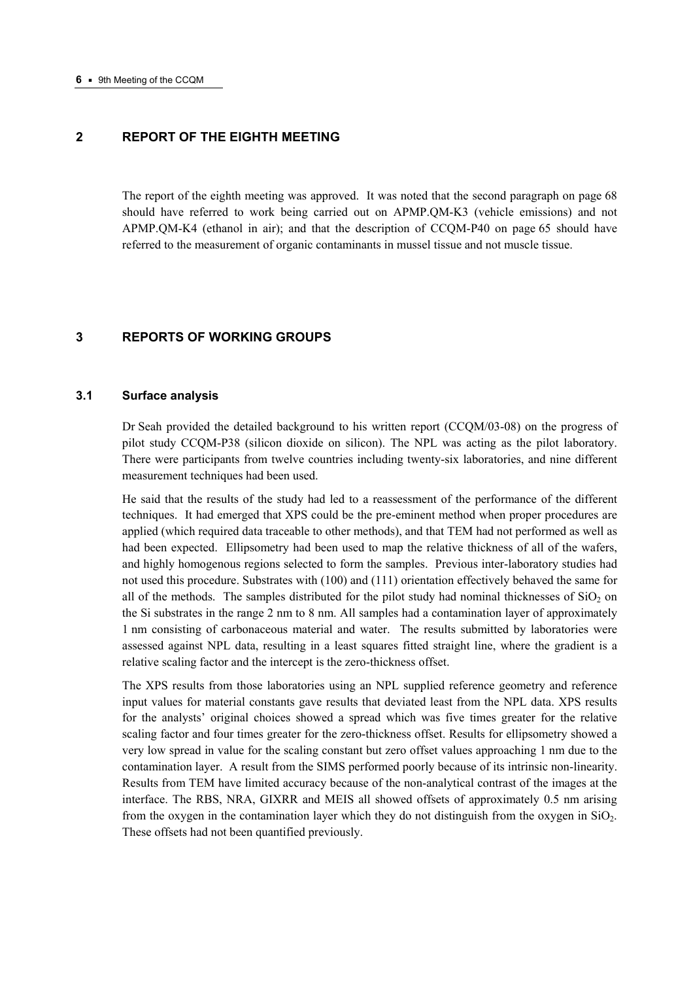# **2 REPORT OF THE EIGHTH MEETING**

The report of the eighth meeting was approved. It was noted that the second paragraph on page 68 should have referred to work being carried out on APMP.QM-K3 (vehicle emissions) and not APMP.QM-K4 (ethanol in air); and that the description of CCQM-P40 on page 65 should have referred to the measurement of organic contaminants in mussel tissue and not muscle tissue.

## **3 REPORTS OF WORKING GROUPS**

#### **3.1 Surface analysis**

Dr Seah provided the detailed background to his written report (CCQM/03-08) on the progress of pilot study CCQM-P38 (silicon dioxide on silicon). The NPL was acting as the pilot laboratory. There were participants from twelve countries including twenty-six laboratories, and nine different measurement techniques had been used.

He said that the results of the study had led to a reassessment of the performance of the different techniques. It had emerged that XPS could be the pre-eminent method when proper procedures are applied (which required data traceable to other methods), and that TEM had not performed as well as had been expected. Ellipsometry had been used to map the relative thickness of all of the wafers, and highly homogenous regions selected to form the samples. Previous inter-laboratory studies had not used this procedure. Substrates with (100) and (111) orientation effectively behaved the same for all of the methods. The samples distributed for the pilot study had nominal thicknesses of  $SiO<sub>2</sub>$  on the Si substrates in the range 2 nm to 8 nm. All samples had a contamination layer of approximately 1 nm consisting of carbonaceous material and water. The results submitted by laboratories were assessed against NPL data, resulting in a least squares fitted straight line, where the gradient is a relative scaling factor and the intercept is the zero-thickness offset.

The XPS results from those laboratories using an NPL supplied reference geometry and reference input values for material constants gave results that deviated least from the NPL data. XPS results for the analysts' original choices showed a spread which was five times greater for the relative scaling factor and four times greater for the zero-thickness offset. Results for ellipsometry showed a very low spread in value for the scaling constant but zero offset values approaching 1 nm due to the contamination layer. A result from the SIMS performed poorly because of its intrinsic non-linearity. Results from TEM have limited accuracy because of the non-analytical contrast of the images at the interface. The RBS, NRA, GIXRR and MEIS all showed offsets of approximately 0.5 nm arising from the oxygen in the contamination layer which they do not distinguish from the oxygen in  $SiO<sub>2</sub>$ . These offsets had not been quantified previously.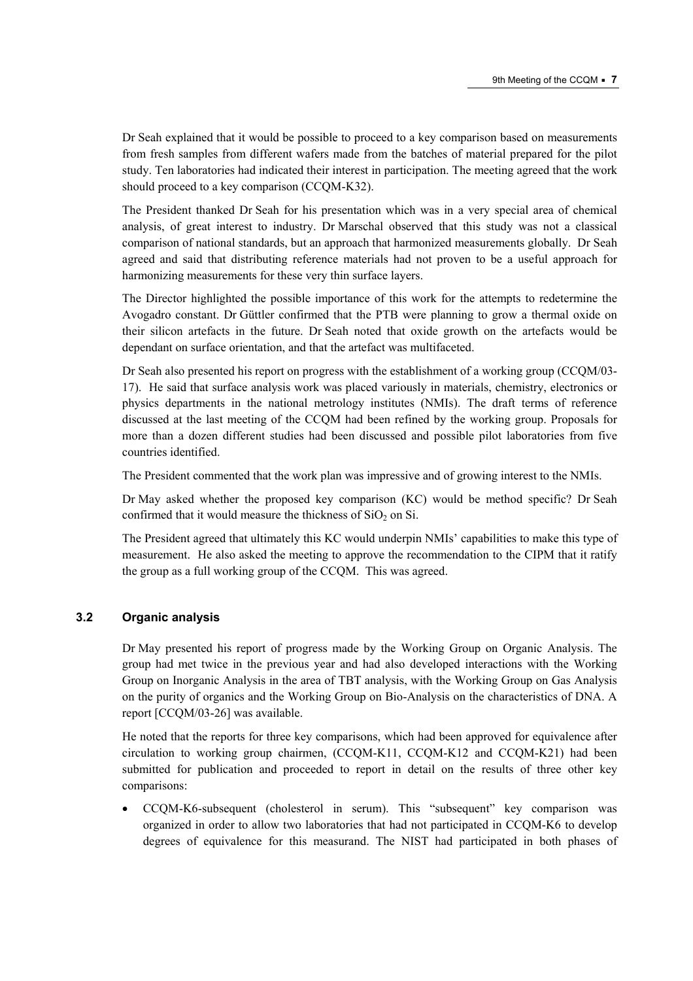Dr Seah explained that it would be possible to proceed to a key comparison based on measurements from fresh samples from different wafers made from the batches of material prepared for the pilot study. Ten laboratories had indicated their interest in participation. The meeting agreed that the work should proceed to a key comparison (CCQM-K32).

The President thanked Dr Seah for his presentation which was in a very special area of chemical analysis, of great interest to industry. Dr Marschal observed that this study was not a classical comparison of national standards, but an approach that harmonized measurements globally. Dr Seah agreed and said that distributing reference materials had not proven to be a useful approach for harmonizing measurements for these very thin surface layers.

The Director highlighted the possible importance of this work for the attempts to redetermine the Avogadro constant. Dr Güttler confirmed that the PTB were planning to grow a thermal oxide on their silicon artefacts in the future. Dr Seah noted that oxide growth on the artefacts would be dependant on surface orientation, and that the artefact was multifaceted.

Dr Seah also presented his report on progress with the establishment of a working group (CCQM/03- 17). He said that surface analysis work was placed variously in materials, chemistry, electronics or physics departments in the national metrology institutes (NMIs). The draft terms of reference discussed at the last meeting of the CCQM had been refined by the working group. Proposals for more than a dozen different studies had been discussed and possible pilot laboratories from five countries identified.

The President commented that the work plan was impressive and of growing interest to the NMIs.

Dr May asked whether the proposed key comparison (KC) would be method specific? Dr Seah confirmed that it would measure the thickness of  $SiO<sub>2</sub>$  on Si.

The President agreed that ultimately this KC would underpin NMIs' capabilities to make this type of measurement. He also asked the meeting to approve the recommendation to the CIPM that it ratify the group as a full working group of the CCQM. This was agreed.

#### **3.2 Organic analysis**

Dr May presented his report of progress made by the Working Group on Organic Analysis. The group had met twice in the previous year and had also developed interactions with the Working Group on Inorganic Analysis in the area of TBT analysis, with the Working Group on Gas Analysis on the purity of organics and the Working Group on Bio-Analysis on the characteristics of DNA. A report [CCQM/03-26] was available.

He noted that the reports for three key comparisons, which had been approved for equivalence after circulation to working group chairmen, (CCQM-K11, CCQM-K12 and CCQM-K21) had been submitted for publication and proceeded to report in detail on the results of three other key comparisons:

CCQM-K6-subsequent (cholesterol in serum). This "subsequent" key comparison was organized in order to allow two laboratories that had not participated in CCQM-K6 to develop degrees of equivalence for this measurand. The NIST had participated in both phases of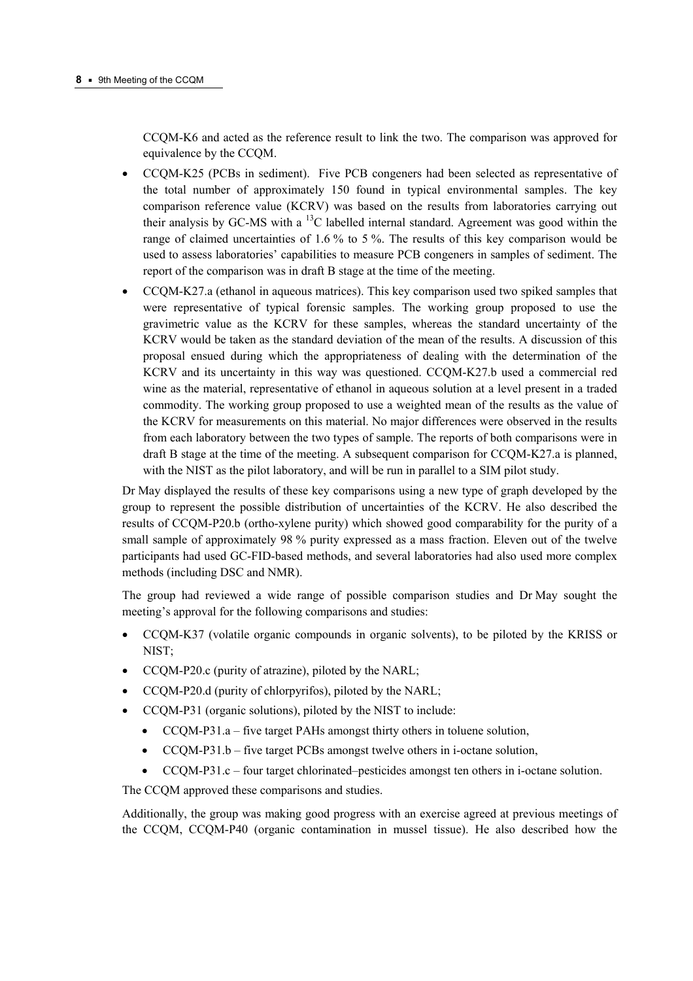CCQM-K6 and acted as the reference result to link the two. The comparison was approved for equivalence by the CCQM.

- CCQM-K25 (PCBs in sediment). Five PCB congeners had been selected as representative of the total number of approximately 150 found in typical environmental samples. The key comparison reference value (KCRV) was based on the results from laboratories carrying out their analysis by GC-MS with a  $^{13}$ C labelled internal standard. Agreement was good within the range of claimed uncertainties of 1.6 % to 5 %. The results of this key comparison would be used to assess laboratories' capabilities to measure PCB congeners in samples of sediment. The report of the comparison was in draft B stage at the time of the meeting.
- CCQM-K27.a (ethanol in aqueous matrices). This key comparison used two spiked samples that were representative of typical forensic samples. The working group proposed to use the gravimetric value as the KCRV for these samples, whereas the standard uncertainty of the KCRV would be taken as the standard deviation of the mean of the results. A discussion of this proposal ensued during which the appropriateness of dealing with the determination of the KCRV and its uncertainty in this way was questioned. CCQM-K27.b used a commercial red wine as the material, representative of ethanol in aqueous solution at a level present in a traded commodity. The working group proposed to use a weighted mean of the results as the value of the KCRV for measurements on this material. No major differences were observed in the results from each laboratory between the two types of sample. The reports of both comparisons were in draft B stage at the time of the meeting. A subsequent comparison for CCQM-K27.a is planned, with the NIST as the pilot laboratory, and will be run in parallel to a SIM pilot study.

Dr May displayed the results of these key comparisons using a new type of graph developed by the group to represent the possible distribution of uncertainties of the KCRV. He also described the results of CCQM-P20.b (ortho-xylene purity) which showed good comparability for the purity of a small sample of approximately 98 % purity expressed as a mass fraction. Eleven out of the twelve participants had used GC-FID-based methods, and several laboratories had also used more complex methods (including DSC and NMR).

The group had reviewed a wide range of possible comparison studies and Dr May sought the meeting's approval for the following comparisons and studies:

- CCQM-K37 (volatile organic compounds in organic solvents), to be piloted by the KRISS or NIST;
- CCQM-P20.c (purity of atrazine), piloted by the NARL;
- CCQM-P20.d (purity of chlorpyrifos), piloted by the NARL;
- CCQM-P31 (organic solutions), piloted by the NIST to include:
	- $CCQM-P31.a five target PAHs amongst thirty others in tolerance solution,$
	- $CCQM-P31.b$  five target PCBs amongst twelve others in i-octane solution,
	- CCQM-P31.c  $-$  four target chlorinated–pesticides amongst ten others in i-octane solution.

The CCQM approved these comparisons and studies.

Additionally, the group was making good progress with an exercise agreed at previous meetings of the CCQM, CCQM-P40 (organic contamination in mussel tissue). He also described how the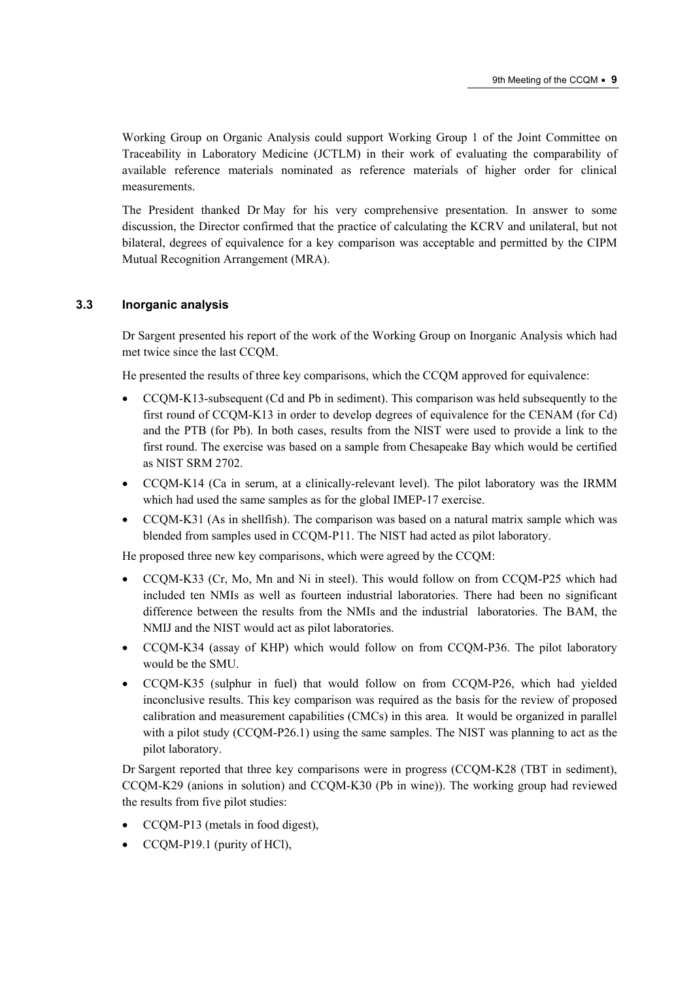Working Group on Organic Analysis could support Working Group 1 of the Joint Committee on Traceability in Laboratory Medicine (JCTLM) in their work of evaluating the comparability of available reference materials nominated as reference materials of higher order for clinical measurements.

The President thanked Dr May for his very comprehensive presentation. In answer to some discussion, the Director confirmed that the practice of calculating the KCRV and unilateral, but not bilateral, degrees of equivalence for a key comparison was acceptable and permitted by the CIPM Mutual Recognition Arrangement (MRA).

## **3.3 Inorganic analysis**

Dr Sargent presented his report of the work of the Working Group on Inorganic Analysis which had met twice since the last CCQM.

He presented the results of three key comparisons, which the CCQM approved for equivalence:

- CCQM-K13-subsequent (Cd and Pb in sediment). This comparison was held subsequently to the first round of CCQM-K13 in order to develop degrees of equivalence for the CENAM (for Cd) and the PTB (for Pb). In both cases, results from the NIST were used to provide a link to the first round. The exercise was based on a sample from Chesapeake Bay which would be certified as NIST SRM 2702.
- CCQM-K14 (Ca in serum, at a clinically-relevant level). The pilot laboratory was the IRMM which had used the same samples as for the global IMEP-17 exercise.
- CCQM-K31 (As in shellfish). The comparison was based on a natural matrix sample which was blended from samples used in CCQM-P11. The NIST had acted as pilot laboratory.

He proposed three new key comparisons, which were agreed by the CCQM:

- CCQM-K33 (Cr, Mo, Mn and Ni in steel). This would follow on from CCQM-P25 which had included ten NMIs as well as fourteen industrial laboratories. There had been no significant difference between the results from the NMIs and the industrial laboratories. The BAM, the NMIJ and the NIST would act as pilot laboratories.
- CCQM-K34 (assay of KHP) which would follow on from CCQM-P36. The pilot laboratory would be the SMU.
- CCQM-K35 (sulphur in fuel) that would follow on from CCQM-P26, which had yielded inconclusive results. This key comparison was required as the basis for the review of proposed calibration and measurement capabilities (CMCs) in this area. It would be organized in parallel with a pilot study (CCQM-P26.1) using the same samples. The NIST was planning to act as the pilot laboratory.

Dr Sargent reported that three key comparisons were in progress (CCQM-K28 (TBT in sediment), CCQM-K29 (anions in solution) and CCQM-K30 (Pb in wine)). The working group had reviewed the results from five pilot studies:

- CCQM-P13 (metals in food digest),
- CCQM-P19.1 (purity of HCl),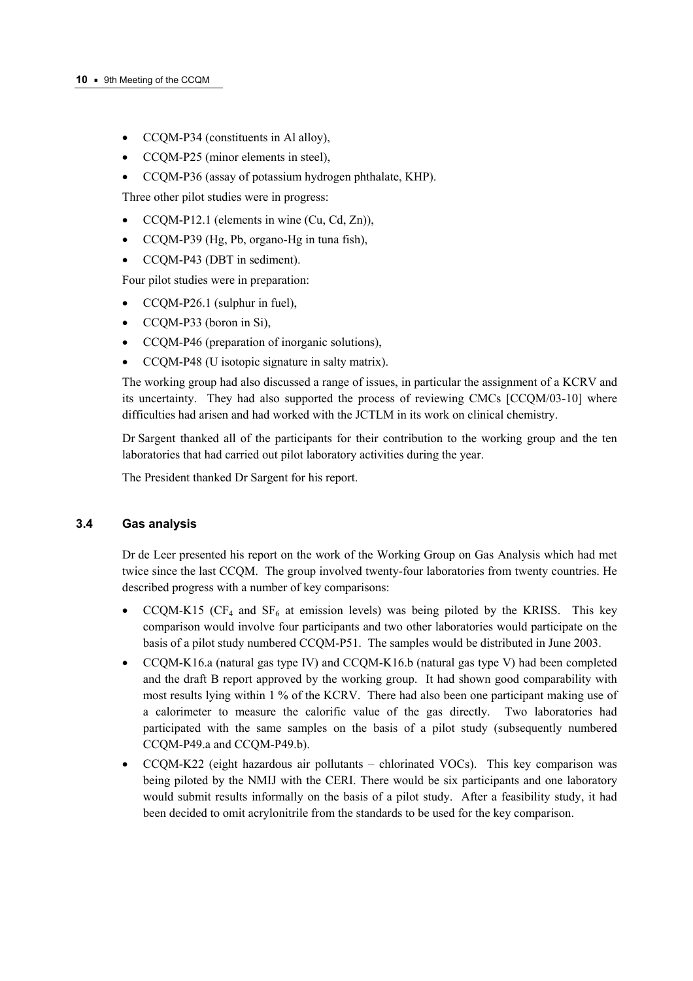- CCQM-P34 (constituents in Al alloy),
- CCQM-P25 (minor elements in steel),
- CCQM-P36 (assay of potassium hydrogen phthalate, KHP).

Three other pilot studies were in progress:

- CCQM-P12.1 (elements in wine (Cu, Cd, Zn)),
- CCQM-P39 (Hg, Pb, organo-Hg in tuna fish),
- CCQM-P43 (DBT in sediment).

Four pilot studies were in preparation:

- CCOM-P26.1 (sulphur in fuel),
- CCQM-P33 (boron in Si),
- CCOM-P46 (preparation of inorganic solutions).
- CCQM-P48 (U isotopic signature in salty matrix).

The working group had also discussed a range of issues, in particular the assignment of a KCRV and its uncertainty. They had also supported the process of reviewing CMCs [CCQM/03-10] where difficulties had arisen and had worked with the JCTLM in its work on clinical chemistry.

Dr Sargent thanked all of the participants for their contribution to the working group and the ten laboratories that had carried out pilot laboratory activities during the year.

The President thanked Dr Sargent for his report.

## **3.4 Gas analysis**

Dr de Leer presented his report on the work of the Working Group on Gas Analysis which had met twice since the last CCQM. The group involved twenty-four laboratories from twenty countries. He described progress with a number of key comparisons:

- CCQM-K15 (CF<sub>4</sub> and SF<sub>6</sub> at emission levels) was being piloted by the KRISS. This key comparison would involve four participants and two other laboratories would participate on the basis of a pilot study numbered CCQM-P51. The samples would be distributed in June 2003.
- CCQM-K16.a (natural gas type IV) and CCQM-K16.b (natural gas type V) had been completed and the draft B report approved by the working group. It had shown good comparability with most results lying within 1 % of the KCRV. There had also been one participant making use of a calorimeter to measure the calorific value of the gas directly. Two laboratories had participated with the same samples on the basis of a pilot study (subsequently numbered CCQM-P49.a and CCQM-P49.b).
- CCQM-K22 (eight hazardous air pollutants  $-$  chlorinated VOCs). This key comparison was being piloted by the NMIJ with the CERI. There would be six participants and one laboratory would submit results informally on the basis of a pilot study. After a feasibility study, it had been decided to omit acrylonitrile from the standards to be used for the key comparison.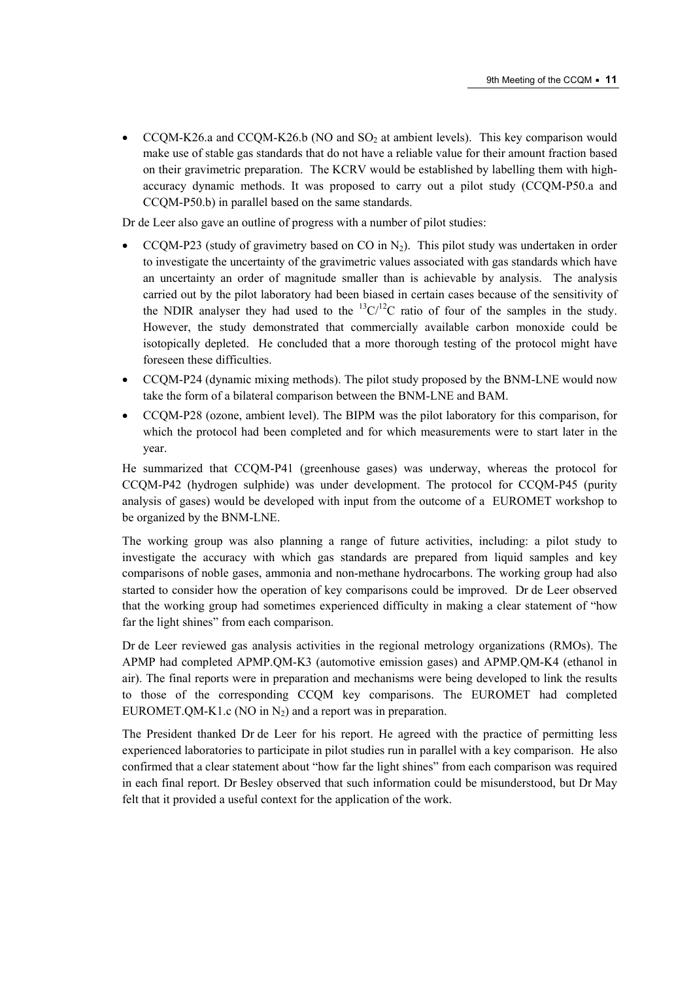• CCQM-K26.a and CCQM-K26.b (NO and SO<sub>2</sub> at ambient levels). This key comparison would make use of stable gas standards that do not have a reliable value for their amount fraction based on their gravimetric preparation. The KCRV would be established by labelling them with highaccuracy dynamic methods. It was proposed to carry out a pilot study (CCQM-P50.a and CCQM-P50.b) in parallel based on the same standards.

Dr de Leer also gave an outline of progress with a number of pilot studies:

- CCQM-P23 (study of gravimetry based on CO in  $N_2$ ). This pilot study was undertaken in order to investigate the uncertainty of the gravimetric values associated with gas standards which have an uncertainty an order of magnitude smaller than is achievable by analysis. The analysis carried out by the pilot laboratory had been biased in certain cases because of the sensitivity of the NDIR analyser they had used to the  ${}^{13}C/{}^{12}C$  ratio of four of the samples in the study. However, the study demonstrated that commercially available carbon monoxide could be isotopically depleted. He concluded that a more thorough testing of the protocol might have foreseen these difficulties.
- CCQM-P24 (dynamic mixing methods). The pilot study proposed by the BNM-LNE would now take the form of a bilateral comparison between the BNM-LNE and BAM.
- CCQM-P28 (ozone, ambient level). The BIPM was the pilot laboratory for this comparison, for which the protocol had been completed and for which measurements were to start later in the year.

He summarized that CCQM-P41 (greenhouse gases) was underway, whereas the protocol for CCQM-P42 (hydrogen sulphide) was under development. The protocol for CCQM-P45 (purity analysis of gases) would be developed with input from the outcome of a EUROMET workshop to be organized by the BNM-LNE.

The working group was also planning a range of future activities, including: a pilot study to investigate the accuracy with which gas standards are prepared from liquid samples and key comparisons of noble gases, ammonia and non-methane hydrocarbons. The working group had also started to consider how the operation of key comparisons could be improved. Dr de Leer observed that the working group had sometimes experienced difficulty in making a clear statement of "how far the light shines" from each comparison.

Dr de Leer reviewed gas analysis activities in the regional metrology organizations (RMOs). The APMP had completed APMP.QM-K3 (automotive emission gases) and APMP.QM-K4 (ethanol in air). The final reports were in preparation and mechanisms were being developed to link the results to those of the corresponding CCQM key comparisons. The EUROMET had completed EUROMET.QM-K1.c (NO in  $N_2$ ) and a report was in preparation.

The President thanked Dr de Leer for his report. He agreed with the practice of permitting less experienced laboratories to participate in pilot studies run in parallel with a key comparison. He also confirmed that a clear statement about "how far the light shines" from each comparison was required in each final report. Dr Besley observed that such information could be misunderstood, but Dr May felt that it provided a useful context for the application of the work.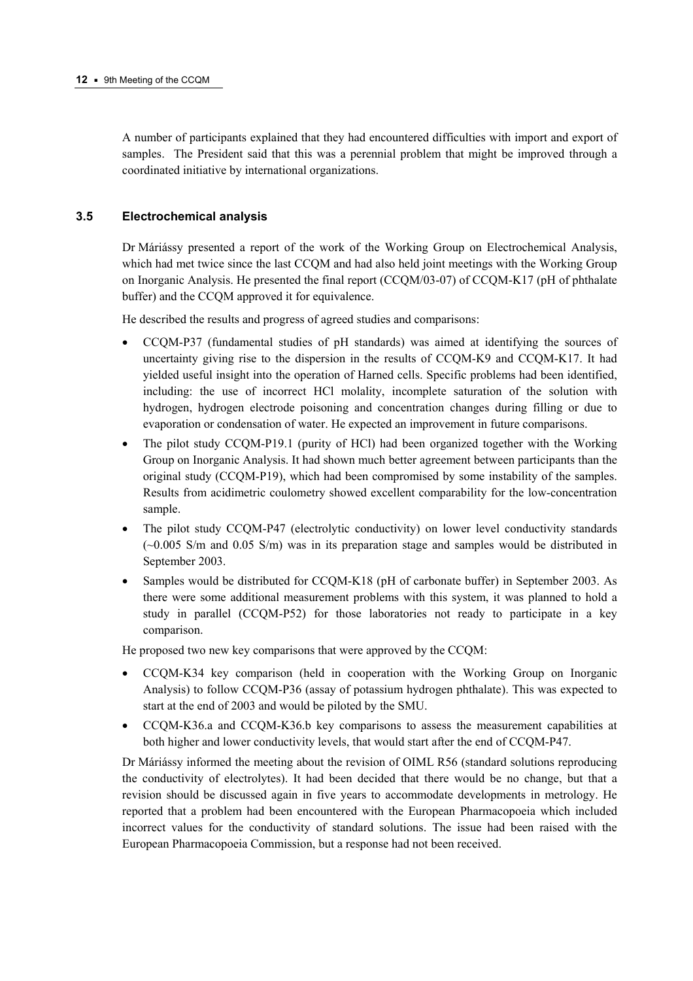A number of participants explained that they had encountered difficulties with import and export of samples. The President said that this was a perennial problem that might be improved through a coordinated initiative by international organizations.

## **3.5 Electrochemical analysis**

Dr Máriássy presented a report of the work of the Working Group on Electrochemical Analysis, which had met twice since the last CCQM and had also held joint meetings with the Working Group on Inorganic Analysis. He presented the final report (CCQM/03-07) of CCQM-K17 (pH of phthalate buffer) and the CCQM approved it for equivalence.

He described the results and progress of agreed studies and comparisons:

- CCQM-P37 (fundamental studies of pH standards) was aimed at identifying the sources of uncertainty giving rise to the dispersion in the results of CCQM-K9 and CCQM-K17. It had yielded useful insight into the operation of Harned cells. Specific problems had been identified, including: the use of incorrect HCl molality, incomplete saturation of the solution with hydrogen, hydrogen electrode poisoning and concentration changes during filling or due to evaporation or condensation of water. He expected an improvement in future comparisons.
- The pilot study CCOM-P19.1 (purity of HCl) had been organized together with the Working Group on Inorganic Analysis. It had shown much better agreement between participants than the original study (CCQM-P19), which had been compromised by some instability of the samples. Results from acidimetric coulometry showed excellent comparability for the low-concentration sample.
- The pilot study CCQM-P47 (electrolytic conductivity) on lower level conductivity standards (~0.005 S/m and 0.05 S/m) was in its preparation stage and samples would be distributed in September 2003.
- Samples would be distributed for CCOM-K18 (pH of carbonate buffer) in September 2003. As there were some additional measurement problems with this system, it was planned to hold a study in parallel (CCQM-P52) for those laboratories not ready to participate in a key comparison.

He proposed two new key comparisons that were approved by the CCQM:

- CCQM-K34 key comparison (held in cooperation with the Working Group on Inorganic Analysis) to follow CCQM-P36 (assay of potassium hydrogen phthalate). This was expected to start at the end of 2003 and would be piloted by the SMU.
- CCQM-K36.a and CCQM-K36.b key comparisons to assess the measurement capabilities at both higher and lower conductivity levels, that would start after the end of CCQM-P47.

Dr Máriássy informed the meeting about the revision of OIML R56 (standard solutions reproducing the conductivity of electrolytes). It had been decided that there would be no change, but that a revision should be discussed again in five years to accommodate developments in metrology. He reported that a problem had been encountered with the European Pharmacopoeia which included incorrect values for the conductivity of standard solutions. The issue had been raised with the European Pharmacopoeia Commission, but a response had not been received.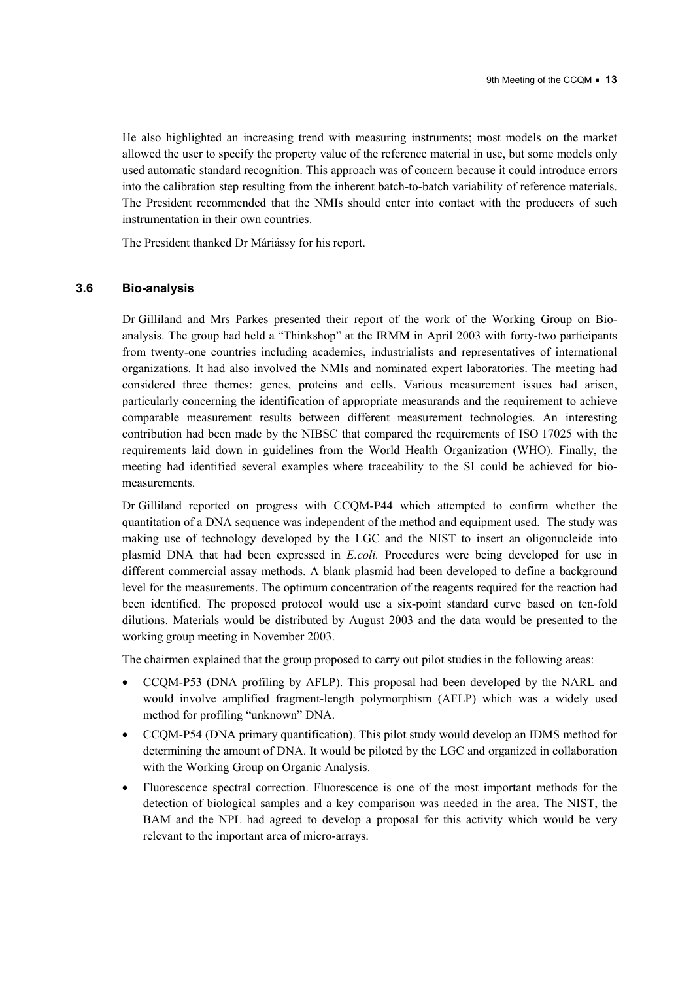He also highlighted an increasing trend with measuring instruments; most models on the market allowed the user to specify the property value of the reference material in use, but some models only used automatic standard recognition. This approach was of concern because it could introduce errors into the calibration step resulting from the inherent batch-to-batch variability of reference materials. The President recommended that the NMIs should enter into contact with the producers of such instrumentation in their own countries.

The President thanked Dr Máriássy for his report.

#### **3.6 Bio-analysis**

Dr Gilliland and Mrs Parkes presented their report of the work of the Working Group on Bioanalysis. The group had held a "Thinkshop" at the IRMM in April 2003 with forty-two participants from twenty-one countries including academics, industrialists and representatives of international organizations. It had also involved the NMIs and nominated expert laboratories. The meeting had considered three themes: genes, proteins and cells. Various measurement issues had arisen, particularly concerning the identification of appropriate measurands and the requirement to achieve comparable measurement results between different measurement technologies. An interesting contribution had been made by the NIBSC that compared the requirements of ISO 17025 with the requirements laid down in guidelines from the World Health Organization (WHO). Finally, the meeting had identified several examples where traceability to the SI could be achieved for biomeasurements.

Dr Gilliland reported on progress with CCQM-P44 which attempted to confirm whether the quantitation of a DNA sequence was independent of the method and equipment used. The study was making use of technology developed by the LGC and the NIST to insert an oligonucleide into plasmid DNA that had been expressed in *E.coli.* Procedures were being developed for use in different commercial assay methods. A blank plasmid had been developed to define a background level for the measurements. The optimum concentration of the reagents required for the reaction had been identified. The proposed protocol would use a six-point standard curve based on ten-fold dilutions. Materials would be distributed by August 2003 and the data would be presented to the working group meeting in November 2003.

The chairmen explained that the group proposed to carry out pilot studies in the following areas:

- CCQM-P53 (DNA profiling by AFLP). This proposal had been developed by the NARL and would involve amplified fragment-length polymorphism (AFLP) which was a widely used method for profiling "unknown" DNA.
- CCQM-P54 (DNA primary quantification). This pilot study would develop an IDMS method for determining the amount of DNA. It would be piloted by the LGC and organized in collaboration with the Working Group on Organic Analysis.
- Fluorescence spectral correction. Fluorescence is one of the most important methods for the detection of biological samples and a key comparison was needed in the area. The NIST, the BAM and the NPL had agreed to develop a proposal for this activity which would be very relevant to the important area of micro-arrays.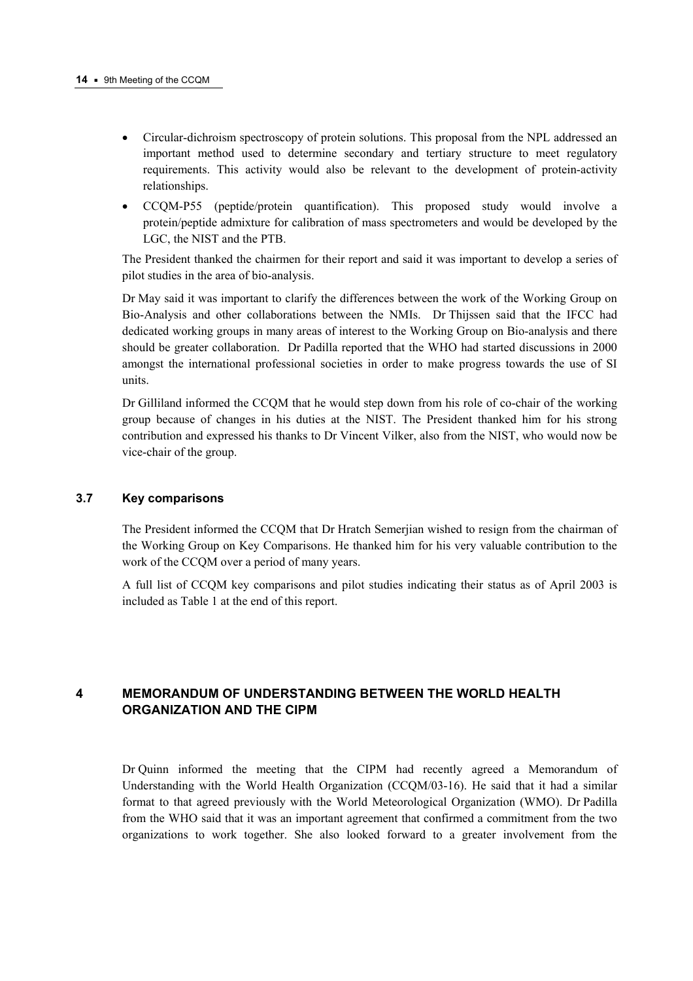- Circular-dichroism spectroscopy of protein solutions. This proposal from the NPL addressed an important method used to determine secondary and tertiary structure to meet regulatory requirements. This activity would also be relevant to the development of protein-activity relationships.
- CCQM-P55 (peptide/protein quantification). This proposed study would involve a protein/peptide admixture for calibration of mass spectrometers and would be developed by the LGC, the NIST and the PTB.

The President thanked the chairmen for their report and said it was important to develop a series of pilot studies in the area of bio-analysis.

Dr May said it was important to clarify the differences between the work of the Working Group on Bio-Analysis and other collaborations between the NMIs. Dr Thijssen said that the IFCC had dedicated working groups in many areas of interest to the Working Group on Bio-analysis and there should be greater collaboration. Dr Padilla reported that the WHO had started discussions in 2000 amongst the international professional societies in order to make progress towards the use of SI units.

Dr Gilliland informed the CCQM that he would step down from his role of co-chair of the working group because of changes in his duties at the NIST. The President thanked him for his strong contribution and expressed his thanks to Dr Vincent Vilker, also from the NIST, who would now be vice-chair of the group.

## **3.7 Key comparisons**

The President informed the CCQM that Dr Hratch Semerjian wished to resign from the chairman of the Working Group on Key Comparisons. He thanked him for his very valuable contribution to the work of the CCQM over a period of many years.

A full list of CCQM key comparisons and pilot studies indicating their status as of April 2003 is included as Table 1 at the end of this report.

# **4 MEMORANDUM OF UNDERSTANDING BETWEEN THE WORLD HEALTH ORGANIZATION AND THE CIPM**

Dr Quinn informed the meeting that the CIPM had recently agreed a Memorandum of Understanding with the World Health Organization (CCQM/03-16). He said that it had a similar format to that agreed previously with the World Meteorological Organization (WMO). Dr Padilla from the WHO said that it was an important agreement that confirmed a commitment from the two organizations to work together. She also looked forward to a greater involvement from the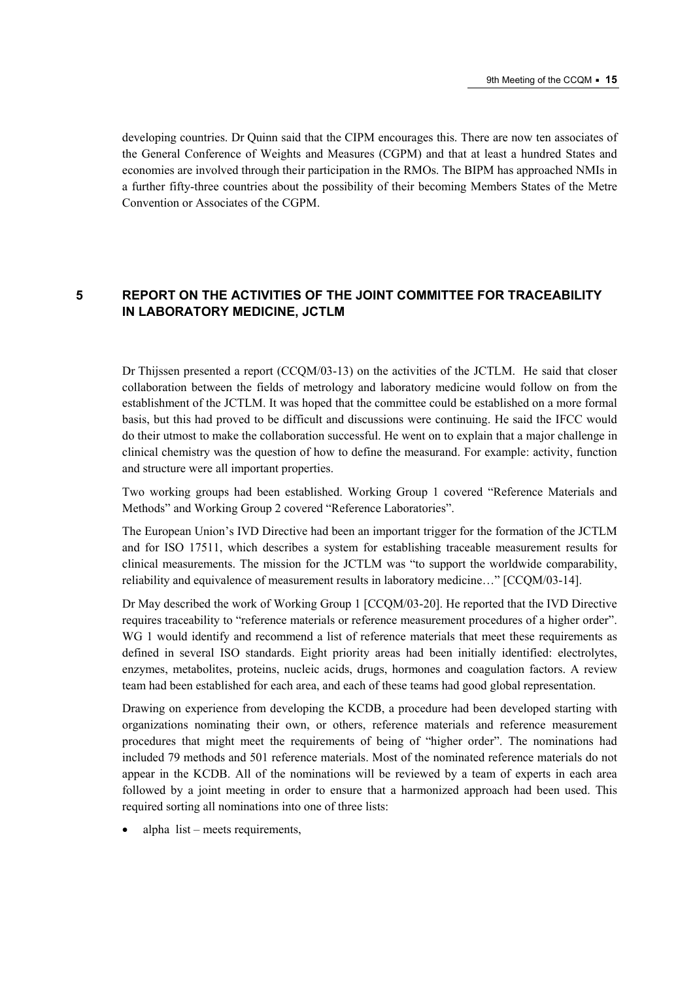developing countries. Dr Quinn said that the CIPM encourages this. There are now ten associates of the General Conference of Weights and Measures (CGPM) and that at least a hundred States and economies are involved through their participation in the RMOs. The BIPM has approached NMIs in a further fifty-three countries about the possibility of their becoming Members States of the Metre Convention or Associates of the CGPM.

# **5 REPORT ON THE ACTIVITIES OF THE JOINT COMMITTEE FOR TRACEABILITY IN LABORATORY MEDICINE, JCTLM**

Dr Thijssen presented a report (CCQM/03-13) on the activities of the JCTLM. He said that closer collaboration between the fields of metrology and laboratory medicine would follow on from the establishment of the JCTLM. It was hoped that the committee could be established on a more formal basis, but this had proved to be difficult and discussions were continuing. He said the IFCC would do their utmost to make the collaboration successful. He went on to explain that a major challenge in clinical chemistry was the question of how to define the measurand. For example: activity, function and structure were all important properties.

Two working groups had been established. Working Group 1 covered "Reference Materials and Methods" and Working Group 2 covered "Reference Laboratories".

The European Unionís IVD Directive had been an important trigger for the formation of the JCTLM and for ISO 17511, which describes a system for establishing traceable measurement results for clinical measurements. The mission for the JCTLM was "to support the worldwide comparability, reliability and equivalence of measurement results in laboratory medicine..." [CCQM/03-14].

Dr May described the work of Working Group 1 [CCQM/03-20]. He reported that the IVD Directive requires traceability to "reference materials or reference measurement procedures of a higher order". WG 1 would identify and recommend a list of reference materials that meet these requirements as defined in several ISO standards. Eight priority areas had been initially identified: electrolytes, enzymes, metabolites, proteins, nucleic acids, drugs, hormones and coagulation factors. A review team had been established for each area, and each of these teams had good global representation.

Drawing on experience from developing the KCDB, a procedure had been developed starting with organizations nominating their own, or others, reference materials and reference measurement procedures that might meet the requirements of being of "higher order". The nominations had included 79 methods and 501 reference materials. Most of the nominated reference materials do not appear in the KCDB. All of the nominations will be reviewed by a team of experts in each area followed by a joint meeting in order to ensure that a harmonized approach had been used. This required sorting all nominations into one of three lists:

alpha  $list - meets requirements$ ,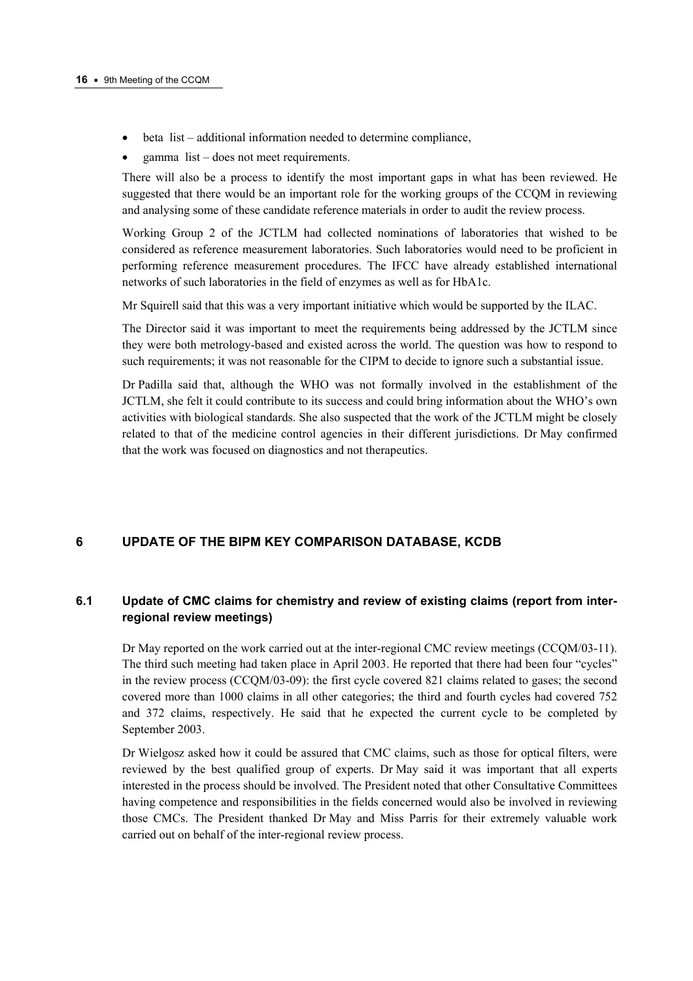- $\bullet$  beta list additional information needed to determine compliance,
- gamma  $list does not meet requirements.$

There will also be a process to identify the most important gaps in what has been reviewed. He suggested that there would be an important role for the working groups of the CCQM in reviewing and analysing some of these candidate reference materials in order to audit the review process.

Working Group 2 of the JCTLM had collected nominations of laboratories that wished to be considered as reference measurement laboratories. Such laboratories would need to be proficient in performing reference measurement procedures. The IFCC have already established international networks of such laboratories in the field of enzymes as well as for HbA1c.

Mr Squirell said that this was a very important initiative which would be supported by the ILAC.

The Director said it was important to meet the requirements being addressed by the JCTLM since they were both metrology-based and existed across the world. The question was how to respond to such requirements; it was not reasonable for the CIPM to decide to ignore such a substantial issue.

Dr Padilla said that, although the WHO was not formally involved in the establishment of the JCTLM, she felt it could contribute to its success and could bring information about the WHO's own activities with biological standards. She also suspected that the work of the JCTLM might be closely related to that of the medicine control agencies in their different jurisdictions. Dr May confirmed that the work was focused on diagnostics and not therapeutics.

# **6 UPDATE OF THE BIPM KEY COMPARISON DATABASE, KCDB**

## **6.1 Update of CMC claims for chemistry and review of existing claims (report from interregional review meetings)**

Dr May reported on the work carried out at the inter-regional CMC review meetings (CCQM/03-11). The third such meeting had taken place in April 2003. He reported that there had been four "cycles" in the review process (CCQM/03-09): the first cycle covered 821 claims related to gases; the second covered more than 1000 claims in all other categories; the third and fourth cycles had covered 752 and 372 claims, respectively. He said that he expected the current cycle to be completed by September 2003.

Dr Wielgosz asked how it could be assured that CMC claims, such as those for optical filters, were reviewed by the best qualified group of experts. Dr May said it was important that all experts interested in the process should be involved. The President noted that other Consultative Committees having competence and responsibilities in the fields concerned would also be involved in reviewing those CMCs. The President thanked Dr May and Miss Parris for their extremely valuable work carried out on behalf of the inter-regional review process.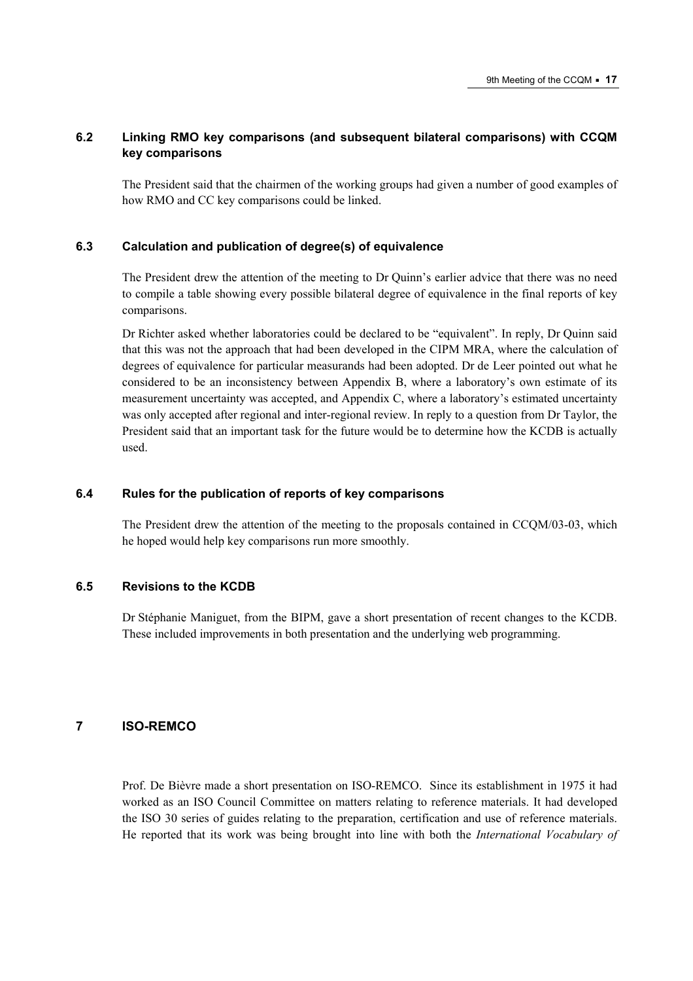## **6.2 Linking RMO key comparisons (and subsequent bilateral comparisons) with CCQM key comparisons**

The President said that the chairmen of the working groups had given a number of good examples of how RMO and CC key comparisons could be linked.

#### **6.3 Calculation and publication of degree(s) of equivalence**

The President drew the attention of the meeting to Dr Ouinn's earlier advice that there was no need to compile a table showing every possible bilateral degree of equivalence in the final reports of key comparisons.

Dr Richter asked whether laboratories could be declared to be "equivalent". In reply, Dr Quinn said that this was not the approach that had been developed in the CIPM MRA, where the calculation of degrees of equivalence for particular measurands had been adopted. Dr de Leer pointed out what he considered to be an inconsistency between Appendix B, where a laboratory's own estimate of its measurement uncertainty was accepted, and Appendix C, where a laboratory's estimated uncertainty was only accepted after regional and inter-regional review. In reply to a question from Dr Taylor, the President said that an important task for the future would be to determine how the KCDB is actually used.

#### **6.4 Rules for the publication of reports of key comparisons**

The President drew the attention of the meeting to the proposals contained in CCQM/03-03, which he hoped would help key comparisons run more smoothly.

#### **6.5 Revisions to the KCDB**

Dr StÈphanie Maniguet, from the BIPM, gave a short presentation of recent changes to the KCDB. These included improvements in both presentation and the underlying web programming.

## **7 ISO-REMCO**

Prof. De Bièvre made a short presentation on ISO-REMCO. Since its establishment in 1975 it had worked as an ISO Council Committee on matters relating to reference materials. It had developed the ISO 30 series of guides relating to the preparation, certification and use of reference materials. He reported that its work was being brought into line with both the *International Vocabulary of*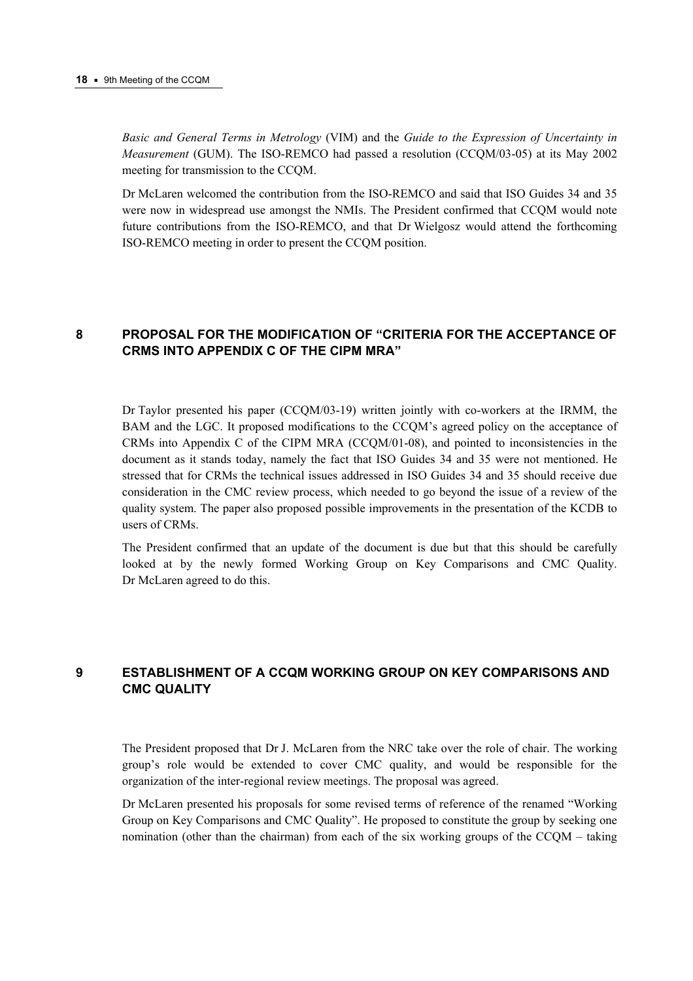*Basic and General Terms in Metrology* (VIM) and the *Guide to the Expression of Uncertainty in Measurement* (GUM). The ISO-REMCO had passed a resolution (CCQM/03-05) at its May 2002 meeting for transmission to the CCQM.

Dr McLaren welcomed the contribution from the ISO-REMCO and said that ISO Guides 34 and 35 were now in widespread use amongst the NMIs. The President confirmed that CCQM would note future contributions from the ISO-REMCO, and that Dr Wielgosz would attend the forthcoming ISO-REMCO meeting in order to present the CCQM position.

# **8 PROPOSAL FOR THE MODIFICATION OF "CRITERIA FOR THE ACCEPTANCE OF CRMS INTO APPENDIX C OF THE CIPM MRAî**

Dr Taylor presented his paper (CCQM/03-19) written jointly with co-workers at the IRMM, the BAM and the LGC. It proposed modifications to the CCQM's agreed policy on the acceptance of CRMs into Appendix C of the CIPM MRA (CCQM/01-08), and pointed to inconsistencies in the document as it stands today, namely the fact that ISO Guides 34 and 35 were not mentioned. He stressed that for CRMs the technical issues addressed in ISO Guides 34 and 35 should receive due consideration in the CMC review process, which needed to go beyond the issue of a review of the quality system. The paper also proposed possible improvements in the presentation of the KCDB to users of CRMs.

The President confirmed that an update of the document is due but that this should be carefully looked at by the newly formed Working Group on Key Comparisons and CMC Quality. Dr McLaren agreed to do this.

# **9 ESTABLISHMENT OF A CCQM WORKING GROUP ON KEY COMPARISONS AND CMC QUALITY**

The President proposed that Dr J. McLaren from the NRC take over the role of chair. The working groupís role would be extended to cover CMC quality, and would be responsible for the organization of the inter-regional review meetings. The proposal was agreed.

Dr McLaren presented his proposals for some revised terms of reference of the renamed "Working" Group on Key Comparisons and CMC Qualityî. He proposed to constitute the group by seeking one nomination (other than the chairman) from each of the six working groups of the  $CCOM -$  taking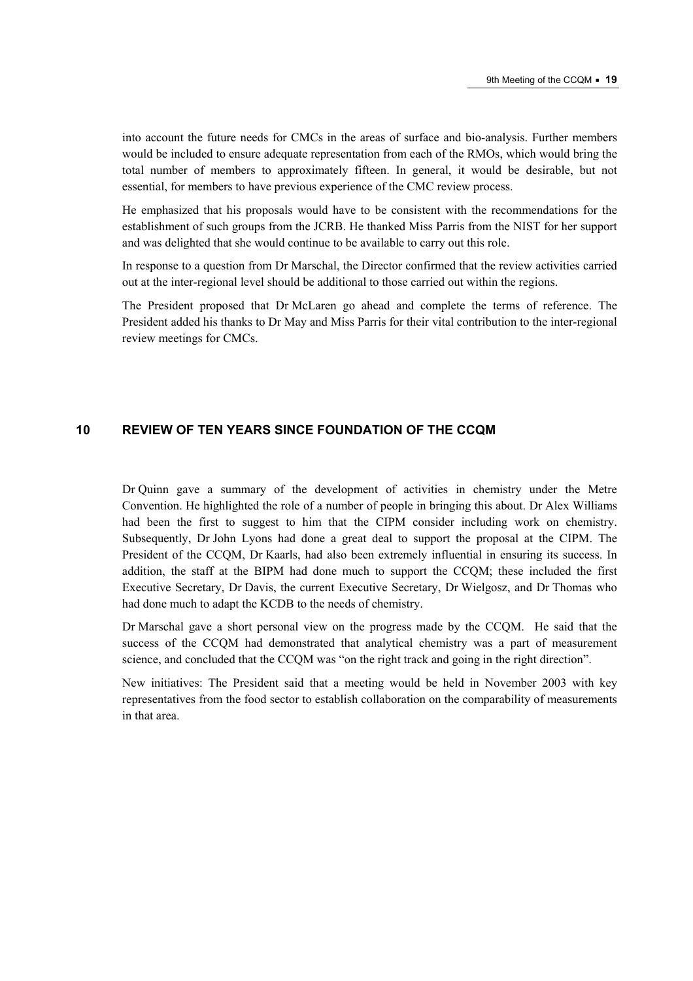into account the future needs for CMCs in the areas of surface and bio-analysis. Further members would be included to ensure adequate representation from each of the RMOs, which would bring the total number of members to approximately fifteen. In general, it would be desirable, but not essential, for members to have previous experience of the CMC review process.

He emphasized that his proposals would have to be consistent with the recommendations for the establishment of such groups from the JCRB. He thanked Miss Parris from the NIST for her support and was delighted that she would continue to be available to carry out this role.

In response to a question from Dr Marschal, the Director confirmed that the review activities carried out at the inter-regional level should be additional to those carried out within the regions.

The President proposed that Dr McLaren go ahead and complete the terms of reference. The President added his thanks to Dr May and Miss Parris for their vital contribution to the inter-regional review meetings for CMCs.

# **10 REVIEW OF TEN YEARS SINCE FOUNDATION OF THE CCQM**

Dr Quinn gave a summary of the development of activities in chemistry under the Metre Convention. He highlighted the role of a number of people in bringing this about. Dr Alex Williams had been the first to suggest to him that the CIPM consider including work on chemistry. Subsequently, Dr John Lyons had done a great deal to support the proposal at the CIPM. The President of the CCQM, Dr Kaarls, had also been extremely influential in ensuring its success. In addition, the staff at the BIPM had done much to support the CCQM; these included the first Executive Secretary, Dr Davis, the current Executive Secretary, Dr Wielgosz, and Dr Thomas who had done much to adapt the KCDB to the needs of chemistry.

Dr Marschal gave a short personal view on the progress made by the CCQM. He said that the success of the CCQM had demonstrated that analytical chemistry was a part of measurement science, and concluded that the CCOM was "on the right track and going in the right direction".

New initiatives: The President said that a meeting would be held in November 2003 with key representatives from the food sector to establish collaboration on the comparability of measurements in that area.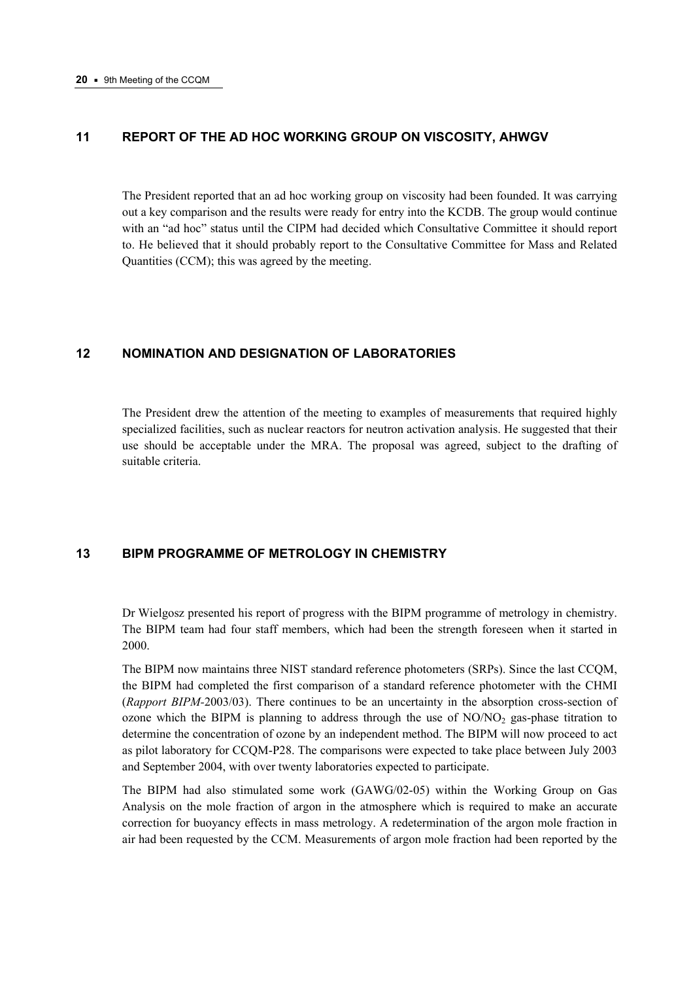# **11 REPORT OF THE AD HOC WORKING GROUP ON VISCOSITY, AHWGV**

The President reported that an ad hoc working group on viscosity had been founded. It was carrying out a key comparison and the results were ready for entry into the KCDB. The group would continue with an "ad hoc" status until the CIPM had decided which Consultative Committee it should report to. He believed that it should probably report to the Consultative Committee for Mass and Related Quantities (CCM); this was agreed by the meeting.

## **12 NOMINATION AND DESIGNATION OF LABORATORIES**

The President drew the attention of the meeting to examples of measurements that required highly specialized facilities, such as nuclear reactors for neutron activation analysis. He suggested that their use should be acceptable under the MRA. The proposal was agreed, subject to the drafting of suitable criteria.

## **13 BIPM PROGRAMME OF METROLOGY IN CHEMISTRY**

Dr Wielgosz presented his report of progress with the BIPM programme of metrology in chemistry. The BIPM team had four staff members, which had been the strength foreseen when it started in 2000.

The BIPM now maintains three NIST standard reference photometers (SRPs). Since the last CCQM, the BIPM had completed the first comparison of a standard reference photometer with the CHMI (*Rapport BIPM-*2003/03). There continues to be an uncertainty in the absorption cross-section of ozone which the BIPM is planning to address through the use of  $NO/NO<sub>2</sub>$  gas-phase titration to determine the concentration of ozone by an independent method. The BIPM will now proceed to act as pilot laboratory for CCQM-P28. The comparisons were expected to take place between July 2003 and September 2004, with over twenty laboratories expected to participate.

The BIPM had also stimulated some work (GAWG/02-05) within the Working Group on Gas Analysis on the mole fraction of argon in the atmosphere which is required to make an accurate correction for buoyancy effects in mass metrology. A redetermination of the argon mole fraction in air had been requested by the CCM. Measurements of argon mole fraction had been reported by the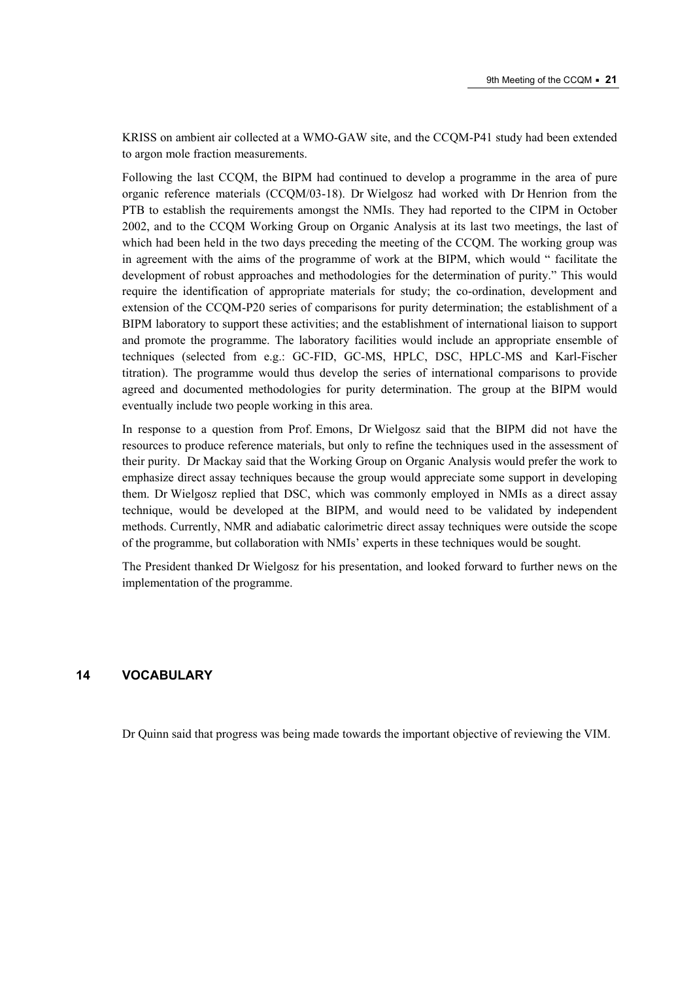KRISS on ambient air collected at a WMO-GAW site, and the CCQM-P41 study had been extended to argon mole fraction measurements.

Following the last CCQM, the BIPM had continued to develop a programme in the area of pure organic reference materials (CCQM/03-18). Dr Wielgosz had worked with Dr Henrion from the PTB to establish the requirements amongst the NMIs. They had reported to the CIPM in October 2002, and to the CCQM Working Group on Organic Analysis at its last two meetings, the last of which had been held in the two days preceding the meeting of the CCQM. The working group was in agreement with the aims of the programme of work at the BIPM, which would "facilitate the development of robust approaches and methodologies for the determination of purity." This would require the identification of appropriate materials for study; the co-ordination, development and extension of the CCQM-P20 series of comparisons for purity determination; the establishment of a BIPM laboratory to support these activities; and the establishment of international liaison to support and promote the programme. The laboratory facilities would include an appropriate ensemble of techniques (selected from e.g.: GC-FID, GC-MS, HPLC, DSC, HPLC-MS and Karl-Fischer titration). The programme would thus develop the series of international comparisons to provide agreed and documented methodologies for purity determination. The group at the BIPM would eventually include two people working in this area.

In response to a question from Prof. Emons, Dr Wielgosz said that the BIPM did not have the resources to produce reference materials, but only to refine the techniques used in the assessment of their purity. Dr Mackay said that the Working Group on Organic Analysis would prefer the work to emphasize direct assay techniques because the group would appreciate some support in developing them. Dr Wielgosz replied that DSC, which was commonly employed in NMIs as a direct assay technique, would be developed at the BIPM, and would need to be validated by independent methods. Currently, NMR and adiabatic calorimetric direct assay techniques were outside the scope of the programme, but collaboration with NMIsí experts in these techniques would be sought.

The President thanked Dr Wielgosz for his presentation, and looked forward to further news on the implementation of the programme.

## **14 VOCABULARY**

Dr Quinn said that progress was being made towards the important objective of reviewing the VIM.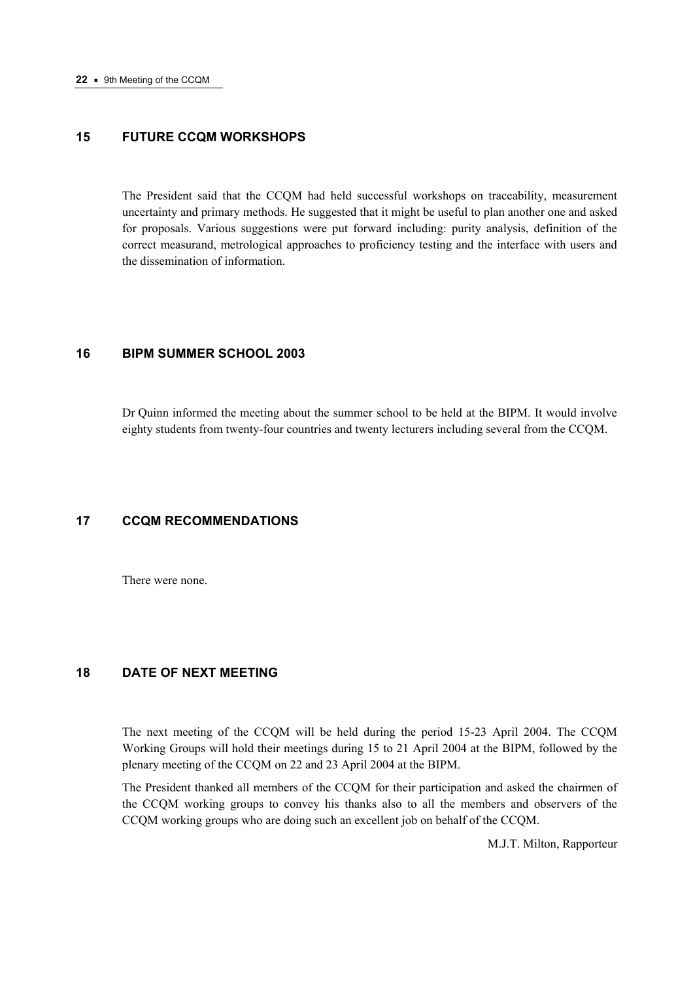# **15 FUTURE CCQM WORKSHOPS**

The President said that the CCQM had held successful workshops on traceability, measurement uncertainty and primary methods. He suggested that it might be useful to plan another one and asked for proposals. Various suggestions were put forward including: purity analysis, definition of the correct measurand, metrological approaches to proficiency testing and the interface with users and the dissemination of information.

## **16 BIPM SUMMER SCHOOL 2003**

Dr Quinn informed the meeting about the summer school to be held at the BIPM. It would involve eighty students from twenty-four countries and twenty lecturers including several from the CCQM.

## **17 CCQM RECOMMENDATIONS**

There were none.

# **18 DATE OF NEXT MEETING**

The next meeting of the CCQM will be held during the period 15-23 April 2004. The CCQM Working Groups will hold their meetings during 15 to 21 April 2004 at the BIPM, followed by the plenary meeting of the CCQM on 22 and 23 April 2004 at the BIPM.

The President thanked all members of the CCQM for their participation and asked the chairmen of the CCQM working groups to convey his thanks also to all the members and observers of the CCQM working groups who are doing such an excellent job on behalf of the CCQM.

M.J.T. Milton, Rapporteur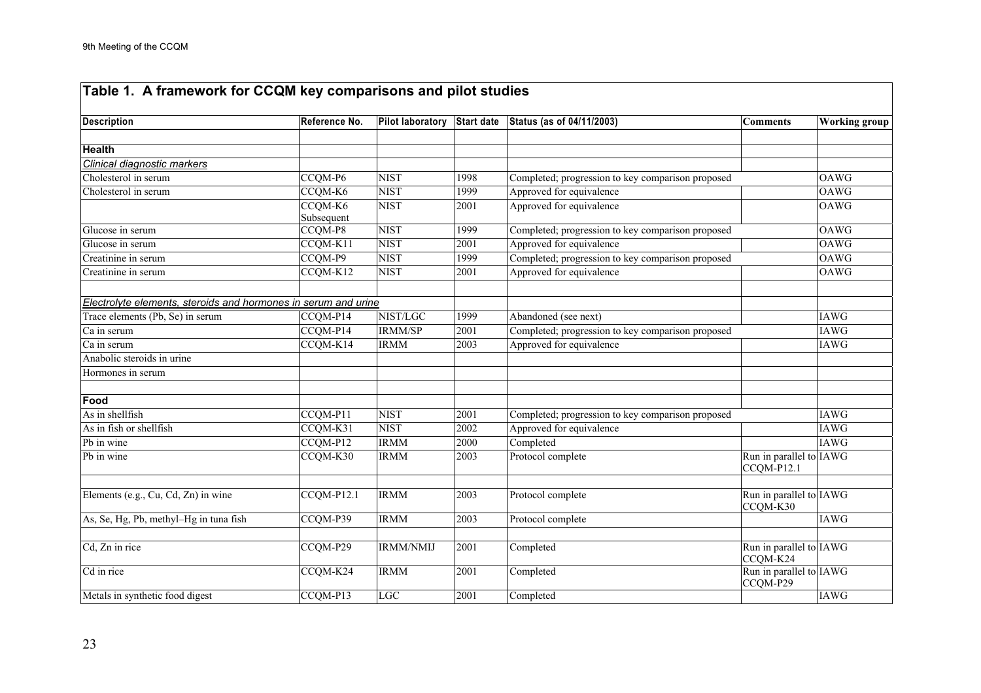| Description                                                    | Reference No. | <b>Pilot laboratory</b> | Start date | Status (as of 04/11/2003)                         | <b>Comments</b>                       | <b>Working group</b> |
|----------------------------------------------------------------|---------------|-------------------------|------------|---------------------------------------------------|---------------------------------------|----------------------|
|                                                                |               |                         |            |                                                   |                                       |                      |
| <b>Health</b>                                                  |               |                         |            |                                                   |                                       |                      |
| Clinical diagnostic markers                                    |               |                         |            |                                                   |                                       |                      |
| Cholesterol in serum                                           | CCQM-P6       | <b>NIST</b>             | 1998       | Completed; progression to key comparison proposed |                                       | <b>OAWG</b>          |
| Cholesterol in serum                                           | CCQM-K6       | <b>NIST</b>             | 1999       | Approved for equivalence                          |                                       | <b>OAWG</b>          |
|                                                                | CCQM-K6       | <b>NIST</b>             | 2001       | Approved for equivalence                          |                                       | <b>OAWG</b>          |
|                                                                | Subsequent    |                         |            |                                                   |                                       |                      |
| Glucose in serum                                               | CCQM-P8       | <b>NIST</b>             | 1999       | Completed; progression to key comparison proposed |                                       | <b>OAWG</b>          |
| Glucose in serum                                               | CCQM-K11      | <b>NIST</b>             | 2001       | Approved for equivalence                          |                                       | <b>OAWG</b>          |
| Creatinine in serum                                            | CCQM-P9       | <b>NIST</b>             | 1999       | Completed; progression to key comparison proposed |                                       | <b>OAWG</b>          |
| Creatinine in serum                                            | CCQM-K12      | <b>NIST</b>             | 2001       | Approved for equivalence                          |                                       | <b>OAWG</b>          |
|                                                                |               |                         |            |                                                   |                                       |                      |
| Electrolyte elements, steroids and hormones in serum and urine |               |                         |            |                                                   |                                       |                      |
| Trace elements (Pb, Se) in serum                               | CCQM-P14      | NIST/LGC                | 1999       | Abandoned (see next)                              |                                       | <b>IAWG</b>          |
| Ca in serum                                                    | CCQM-P14      | <b>IRMM/SP</b>          | 2001       | Completed; progression to key comparison proposed |                                       | <b>IAWG</b>          |
| Ca in serum                                                    | CCQM-K14      | <b>IRMM</b>             | 2003       | Approved for equivalence                          |                                       | <b>IAWG</b>          |
| Anabolic steroids in urine                                     |               |                         |            |                                                   |                                       |                      |
| Hormones in serum                                              |               |                         |            |                                                   |                                       |                      |
|                                                                |               |                         |            |                                                   |                                       |                      |
| Food                                                           |               |                         |            |                                                   |                                       |                      |
| As in shellfish                                                | CCQM-P11      | <b>NIST</b>             | 2001       | Completed; progression to key comparison proposed |                                       | <b>IAWG</b>          |
| As in fish or shellfish                                        | CCQM-K31      | <b>NIST</b>             | 2002       | Approved for equivalence                          |                                       | <b>IAWG</b>          |
| Pb in wine                                                     | CCQM-P12      | <b>IRMM</b>             | 2000       | Completed                                         |                                       | <b>IAWG</b>          |
| Pb in wine                                                     | CCQM-K30      | <b>IRMM</b>             | 2003       | Protocol complete                                 | Run in parallel to IAWG<br>CCQM-P12.1 |                      |
|                                                                |               |                         |            |                                                   |                                       |                      |
| Elements (e.g., Cu, Cd, Zn) in wine                            | CCQM-P12.1    | <b>IRMM</b>             | 2003       | Protocol complete                                 | Run in parallel to IAWG<br>CCQM-K30   |                      |
| As, Se, Hg, Pb, methyl-Hg in tuna fish                         | CCQM-P39      | <b>IRMM</b>             | 2003       | Protocol complete                                 |                                       | <b>IAWG</b>          |
|                                                                |               |                         |            |                                                   |                                       |                      |
| Cd, Zn in rice                                                 | CCQM-P29      | <b>IRMM/NMIJ</b>        | 2001       | Completed                                         | Run in parallel to IAWG<br>CCOM-K24   |                      |
| Cd in rice                                                     | CCQM-K24      | <b>IRMM</b>             | 2001       | Completed                                         | Run in parallel to IAWG<br>CCQM-P29   |                      |
| Metals in synthetic food digest                                | CCQM-P13      | $_{\rm LGC}$            | 2001       | Completed                                         |                                       | <b>IAWG</b>          |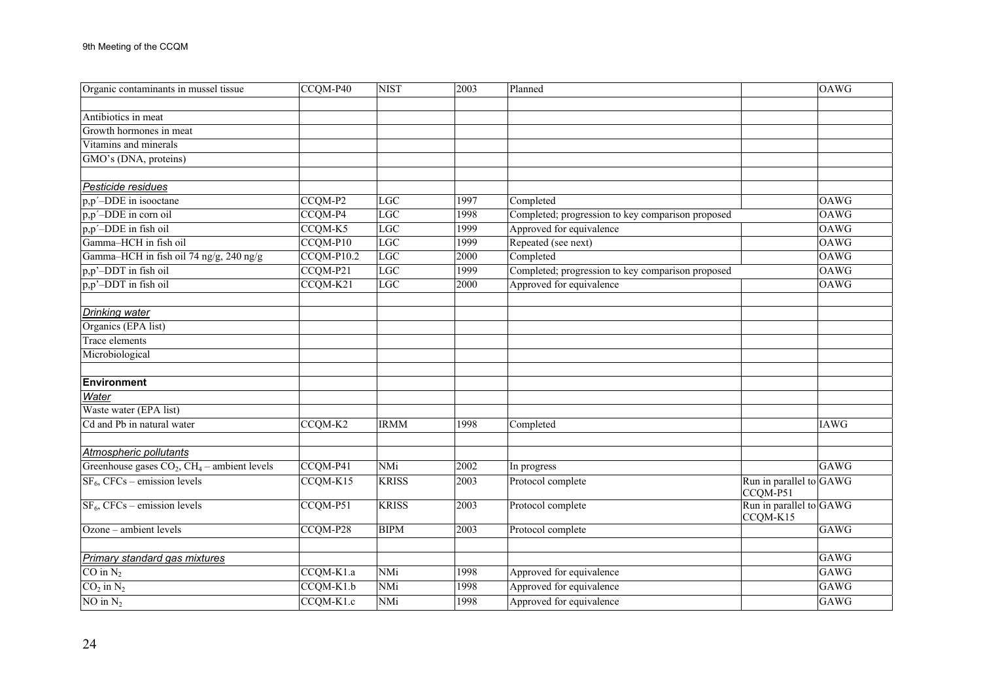| Organic contaminants in mussel tissue           | CCQM-P40     | <b>NIST</b>  | 2003 | Planned                                           |                                     | <b>OAWG</b> |
|-------------------------------------------------|--------------|--------------|------|---------------------------------------------------|-------------------------------------|-------------|
|                                                 |              |              |      |                                                   |                                     |             |
| Antibiotics in meat                             |              |              |      |                                                   |                                     |             |
| Growth hormones in meat                         |              |              |      |                                                   |                                     |             |
| Vitamins and minerals                           |              |              |      |                                                   |                                     |             |
| GMO's (DNA, proteins)                           |              |              |      |                                                   |                                     |             |
| Pesticide residues                              |              |              |      |                                                   |                                     |             |
| p,p'-DDE in isooctane                           | CCQM-P2      | LGC          | 1997 | Completed                                         |                                     | <b>OAWG</b> |
| p,p'-DDE in corn oil                            | CCQM-P4      | LGC          | 1998 | Completed; progression to key comparison proposed |                                     | <b>OAWG</b> |
| p,p'-DDE in fish oil                            | CCQM-K5      | LGC          | 1999 | Approved for equivalence                          |                                     | <b>OAWG</b> |
| Gamma-HCH in fish oil                           | CCQM-P10     | LGC          | 1999 | Repeated (see next)                               |                                     | <b>OAWG</b> |
| Gamma-HCH in fish oil 74 ng/g, 240 ng/g         | $CCQM-P10.2$ | LGC          | 2000 | Completed                                         |                                     | <b>OAWG</b> |
| p,p'-DDT in fish oil                            | CCQM-P21     | LGC          | 1999 | Completed; progression to key comparison proposed |                                     | <b>OAWG</b> |
| p,p'-DDT in fish oil                            | CCQM-K21     | LGC          | 2000 | Approved for equivalence                          |                                     | <b>OAWG</b> |
|                                                 |              |              |      |                                                   |                                     |             |
| <b>Drinking water</b>                           |              |              |      |                                                   |                                     |             |
| Organics (EPA list)                             |              |              |      |                                                   |                                     |             |
| Trace elements                                  |              |              |      |                                                   |                                     |             |
| Microbiological                                 |              |              |      |                                                   |                                     |             |
| Environment                                     |              |              |      |                                                   |                                     |             |
| Water                                           |              |              |      |                                                   |                                     |             |
| Waste water (EPA list)                          |              |              |      |                                                   |                                     |             |
| Cd and Pb in natural water                      | CCQM-K2      | <b>IRMM</b>  | 1998 | Completed                                         |                                     | <b>IAWG</b> |
| Atmospheric pollutants                          |              |              |      |                                                   |                                     |             |
| Greenhouse gases $CO2$ , $CH4$ – ambient levels | CCQM-P41     | <b>NMi</b>   | 2002 | In progress                                       |                                     | <b>GAWG</b> |
| $SF6$ , CFCs – emission levels                  | CCQM-K15     | <b>KRISS</b> | 2003 | Protocol complete                                 | Run in parallel to $GAWG$           |             |
| $SF6$ , CFCs – emission levels                  | CCQM-P51     | <b>KRISS</b> | 2003 | Protocol complete                                 | CCQM-P51<br>Run in parallel to GAWG |             |
|                                                 |              |              |      |                                                   | CCQM-K15                            |             |
| Ozone - ambient levels                          | CCQM-P28     | <b>BIPM</b>  | 2003 | Protocol complete                                 |                                     | <b>GAWG</b> |
| Primary standard gas mixtures                   |              |              |      |                                                   |                                     | GAWG        |
| $CO$ in $N_2$                                   | CCQM-K1.a    | NMi          | 1998 | Approved for equivalence                          |                                     | <b>GAWG</b> |
| $CO2$ in $N2$                                   | CCQM-K1.b    | NMi          | 1998 | Approved for equivalence                          |                                     | GAWG        |
| NO in $N_2$                                     | CCQM-K1.c    | NMi          | 1998 | Approved for equivalence                          |                                     | <b>GAWG</b> |
|                                                 |              |              |      |                                                   |                                     |             |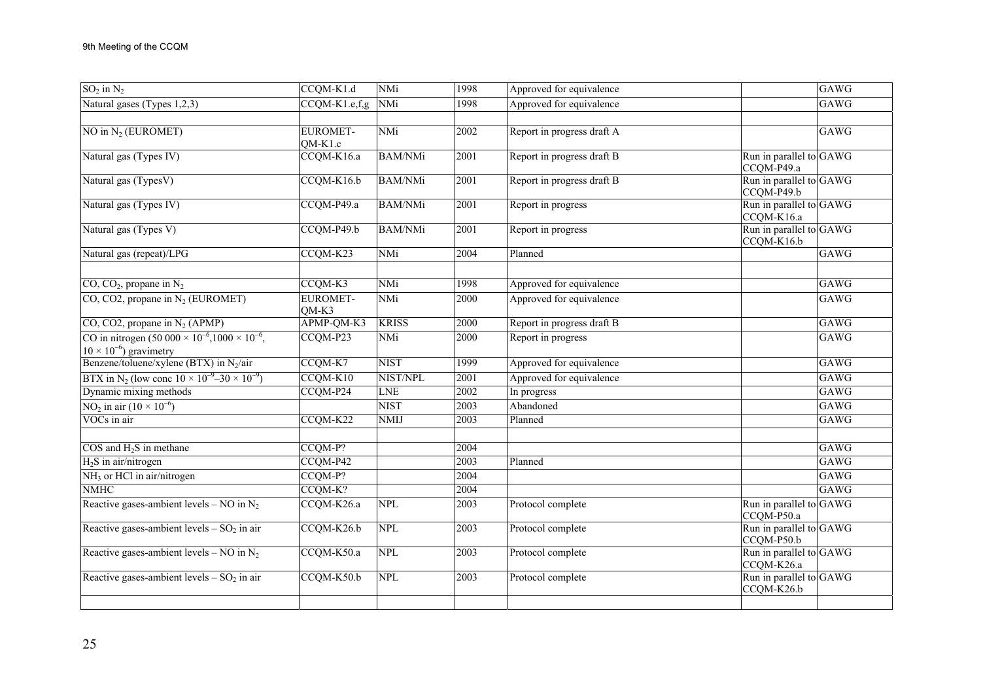| $SO_2$ in $N_2$                                                                                    | CCQM-K1.d                    | <b>NMi</b>     | 1998 | Approved for equivalence   |                                         | <b>GAWG</b> |
|----------------------------------------------------------------------------------------------------|------------------------------|----------------|------|----------------------------|-----------------------------------------|-------------|
| Natural gases (Types 1,2,3)                                                                        | $CCQM-K1.e,f,g$              | <b>NMi</b>     | 1998 | Approved for equivalence   |                                         | GAWG        |
|                                                                                                    |                              |                |      |                            |                                         |             |
| NO in $N_2$ (EUROMET)                                                                              | <b>EUROMET-</b><br>$QM-K1.c$ | NMi            | 2002 | Report in progress draft A |                                         | GAWG        |
| Natural gas (Types IV)                                                                             | CCQM-K16.a                   | <b>BAM/NMi</b> | 2001 | Report in progress draft B | Run in parallel to $GAWG$<br>CCQM-P49.a |             |
| Natural gas (TypesV)                                                                               | CCQM-K16.b                   | <b>BAM/NMi</b> | 2001 | Report in progress draft B | Run in parallel to GAWG<br>CCQM-P49.b   |             |
| Natural gas (Types IV)                                                                             | CCQM-P49.a                   | <b>BAM/NMi</b> | 2001 | Report in progress         | Run in parallel to GAWG<br>CCQM-K16.a   |             |
| Natural gas (Types V)                                                                              | CCQM-P49.b                   | <b>BAM/NMi</b> | 2001 | Report in progress         | Run in parallel to GAWG<br>CCQM-K16.b   |             |
| Natural gas (repeat)/LPG                                                                           | CCQM-K23                     | NMi            | 2004 | Planned                    |                                         | GAWG        |
| $CO$ , $CO2$ , propane in N <sub>2</sub>                                                           | CCQM-K3                      | <b>NMi</b>     | 1998 | Approved for equivalence   |                                         | <b>GAWG</b> |
| $CO$ , $CO2$ , propane in N <sub>2</sub> (EUROMET)                                                 | <b>EUROMET-</b><br>$QM-K3$   | <b>NMi</b>     | 2000 | Approved for equivalence   |                                         | GAWG        |
| $CO$ , $CO2$ , propane in $N_2$ (APMP)                                                             | APMP-QM-K3                   | <b>KRISS</b>   | 2000 | Report in progress draft B |                                         | <b>GAWG</b> |
| CO in nitrogen $(50\ 000 \times 10^{-6}, 1000 \times 10^{-6})$<br>$10 \times 10^{-6}$ ) gravimetry | CCQM-P23                     | NMi            | 2000 | Report in progress         |                                         | GAWG        |
| Benzene/toluene/xylene (BTX) in $N_2$ /air                                                         | CCQM-K7                      | <b>NIST</b>    | 1999 | Approved for equivalence   |                                         | GAWG        |
| BTX in N <sub>2</sub> (low conc $10 \times 10^{-9} - 30 \times 10^{-9}$ )                          | CCQM-K10                     | NIST/NPL       | 2001 | Approved for equivalence   |                                         | GAWG        |
| Dynamic mixing methods                                                                             | CCQM-P24                     | <b>LNE</b>     | 2002 | In progress                |                                         | GAWG        |
| NO <sub>2</sub> in air $(10 \times 10^{-6})$                                                       |                              | <b>NIST</b>    | 2003 | Abandoned                  |                                         | GAWG        |
| VOCs in air                                                                                        | CCQM-K22                     | <b>NMIJ</b>    | 2003 | Planned                    |                                         | <b>GAWG</b> |
| $COS$ and $H_2S$ in methane                                                                        | CCQM-P?                      |                | 2004 |                            |                                         | GAWG        |
| $H_2S$ in air/nitrogen                                                                             | CCQM-P42                     |                | 2003 | Planned                    |                                         | GAWG        |
| NH <sub>3</sub> or HCl in air/nitrogen                                                             | CCQM-P?                      |                | 2004 |                            |                                         | GAWG        |
| $N$ MHC                                                                                            | CCQM-K?                      |                | 2004 |                            |                                         | GAWG        |
| Reactive gases-ambient levels – NO in $N_2$                                                        | CCQM-K26.a                   | <b>NPL</b>     | 2003 | Protocol complete          | Run in parallel to GAWG<br>CCQM-P50.a   |             |
| Reactive gases-ambient levels $-$ SO <sub>2</sub> in air                                           | CCQM-K26.b                   | <b>NPL</b>     | 2003 | Protocol complete          | Run in parallel to GAWG<br>CCQM-P50.b   |             |
| Reactive gases-ambient levels – NO in $N_2$                                                        | CCQM-K50.a                   | <b>NPL</b>     | 2003 | Protocol complete          | Run in parallel to GAWG<br>CCQM-K26.a   |             |
| Reactive gases-ambient levels $-$ SO <sub>2</sub> in air                                           | CCQM-K50.b                   | <b>NPL</b>     | 2003 | Protocol complete          | Run in parallel to GAWG<br>CCQM-K26.b   |             |
|                                                                                                    |                              |                |      |                            |                                         |             |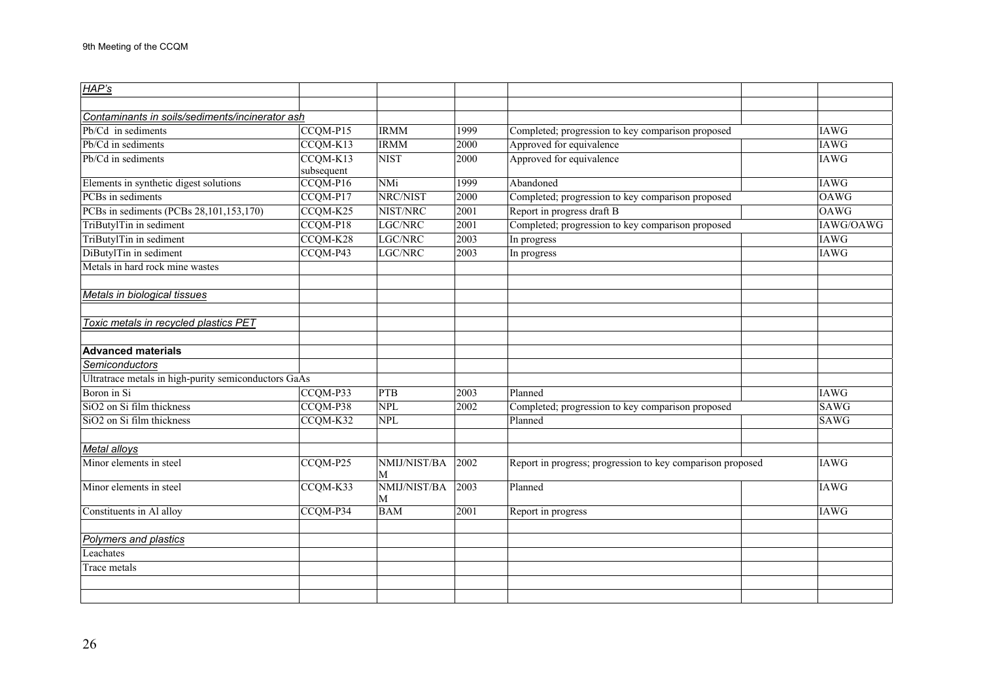| HAP's                                                |            |                 |      |                                                            |             |
|------------------------------------------------------|------------|-----------------|------|------------------------------------------------------------|-------------|
|                                                      |            |                 |      |                                                            |             |
| Contaminants in soils/sediments/incinerator ash      |            |                 |      |                                                            |             |
| Pb/Cd in sediments                                   | CCQM-P15   | <b>IRMM</b>     | 1999 | Completed; progression to key comparison proposed          | <b>IAWG</b> |
| Pb/Cd in sediments                                   | CCQM-K13   | <b>IRMM</b>     | 2000 | Approved for equivalence                                   | <b>IAWG</b> |
| Pb/Cd in sediments                                   | CCQM-K13   | <b>NIST</b>     | 2000 | Approved for equivalence                                   | <b>IAWG</b> |
|                                                      | subsequent |                 |      |                                                            |             |
| Elements in synthetic digest solutions               | CCQM-P16   | NMi             | 1999 | Abandoned                                                  | <b>IAWG</b> |
| PCBs in sediments                                    | CCQM-P17   | NRC/NIST        | 2000 | Completed; progression to key comparison proposed          | <b>OAWG</b> |
| PCBs in sediments (PCBs 28,101,153,170)              | CCQM-K25   | NIST/NRC        | 2001 | Report in progress draft B                                 | <b>OAWG</b> |
| TriButylTin in sediment                              | CCQM-P18   | LGC/NRC         | 2001 | Completed; progression to key comparison proposed          | IAWG/OAWG   |
| TriButylTin in sediment                              | CCQM-K28   | LGC/NRC         | 2003 | In progress                                                | <b>IAWG</b> |
| DiButylTin in sediment                               | CCQM-P43   | LGC/NRC         | 2003 | In progress                                                | <b>IAWG</b> |
| Metals in hard rock mine wastes                      |            |                 |      |                                                            |             |
|                                                      |            |                 |      |                                                            |             |
| Metals in biological tissues                         |            |                 |      |                                                            |             |
|                                                      |            |                 |      |                                                            |             |
| Toxic metals in recycled plastics PET                |            |                 |      |                                                            |             |
|                                                      |            |                 |      |                                                            |             |
| <b>Advanced materials</b>                            |            |                 |      |                                                            |             |
| Semiconductors                                       |            |                 |      |                                                            |             |
| Ultratrace metals in high-purity semiconductors GaAs |            |                 |      |                                                            |             |
| Boron in Si                                          | CCQM-P33   | <b>PTB</b>      | 2003 | Planned                                                    | <b>IAWG</b> |
| $SiO2$ on Si film thickness                          | CCQM-P38   | <b>NPL</b>      | 2002 | Completed; progression to key comparison proposed          | <b>SAWG</b> |
| SiO <sub>2</sub> on Si film thickness                | CCQM-K32   | <b>NPL</b>      |      | Planned                                                    | <b>SAWG</b> |
|                                                      |            |                 |      |                                                            |             |
| Metal alloys                                         |            |                 |      |                                                            |             |
| Minor elements in steel                              | CCQM-P25   | NMIJ/NIST/BA    | 2002 | Report in progress; progression to key comparison proposed | <b>IAWG</b> |
|                                                      |            | M               |      |                                                            |             |
| Minor elements in steel                              | CCQM-K33   | NMIJ/NIST/BA    | 2003 | Planned                                                    | <b>IAWG</b> |
|                                                      | CCQM-P34   | M<br><b>BAM</b> | 2001 |                                                            | <b>IAWG</b> |
| Constituents in Al alloy                             |            |                 |      | Report in progress                                         |             |
|                                                      |            |                 |      |                                                            |             |
| Polymers and plastics                                |            |                 |      |                                                            |             |
| Leachates                                            |            |                 |      |                                                            |             |
| Trace metals                                         |            |                 |      |                                                            |             |
|                                                      |            |                 |      |                                                            |             |
|                                                      |            |                 |      |                                                            |             |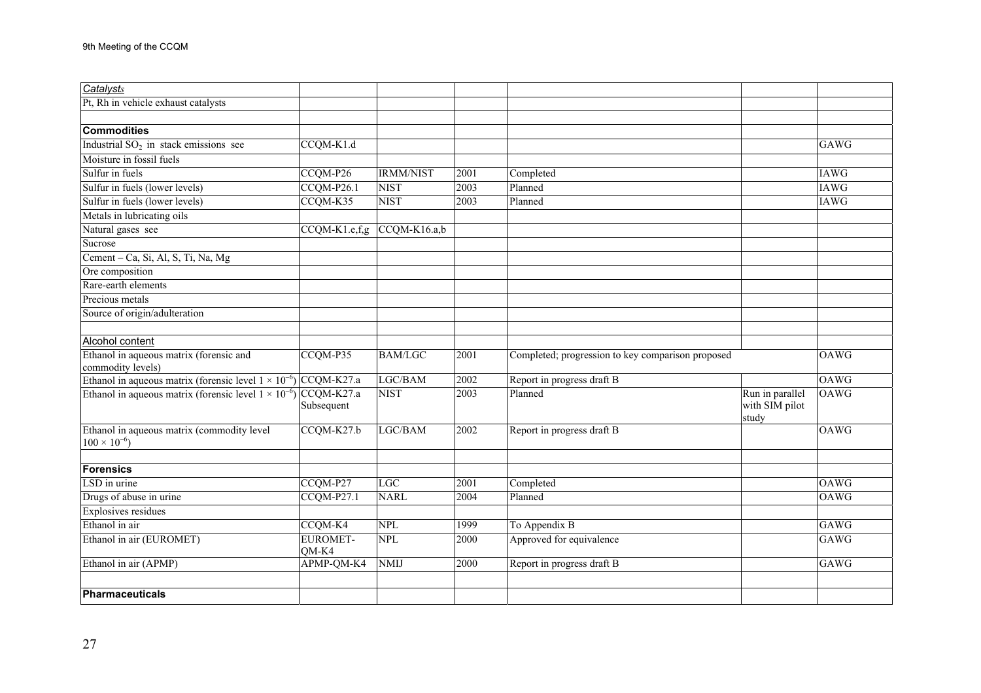| Catalysts                                                                 |                            |                  |      |                                                   |                                            |             |
|---------------------------------------------------------------------------|----------------------------|------------------|------|---------------------------------------------------|--------------------------------------------|-------------|
| Pt, Rh in vehicle exhaust catalysts                                       |                            |                  |      |                                                   |                                            |             |
|                                                                           |                            |                  |      |                                                   |                                            |             |
| Commodities                                                               |                            |                  |      |                                                   |                                            |             |
| Industrial $SO2$ in stack emissions see                                   | CCQM-K1.d                  |                  |      |                                                   |                                            | <b>GAWG</b> |
| Moisture in fossil fuels                                                  |                            |                  |      |                                                   |                                            |             |
| Sulfur in fuels                                                           | CCQM-P26                   | <b>IRMM/NIST</b> | 2001 | Completed                                         |                                            | <b>IAWG</b> |
| Sulfur in fuels (lower levels)                                            | CCQM-P26.1                 | <b>NIST</b>      | 2003 | Planned                                           |                                            | <b>IAWG</b> |
| Sulfur in fuels (lower levels)                                            | CCQM-K35                   | <b>NIST</b>      | 2003 | Planned                                           |                                            | <b>IAWG</b> |
| Metals in lubricating oils                                                |                            |                  |      |                                                   |                                            |             |
| Natural gases see                                                         | CCQM-K1.e,f,g CCQM-K16.a,b |                  |      |                                                   |                                            |             |
| Sucrose                                                                   |                            |                  |      |                                                   |                                            |             |
| Cement - Ca, Si, Al, S, Ti, Na, Mg                                        |                            |                  |      |                                                   |                                            |             |
| Ore composition                                                           |                            |                  |      |                                                   |                                            |             |
| Rare-earth elements                                                       |                            |                  |      |                                                   |                                            |             |
| Precious metals                                                           |                            |                  |      |                                                   |                                            |             |
| Source of origin/adulteration                                             |                            |                  |      |                                                   |                                            |             |
|                                                                           |                            |                  |      |                                                   |                                            |             |
| Alcohol content                                                           |                            |                  |      |                                                   |                                            |             |
| Ethanol in aqueous matrix (forensic and<br>commodity levels)              | CCQM-P35                   | <b>BAM/LGC</b>   | 2001 | Completed; progression to key comparison proposed |                                            | <b>OAWG</b> |
| Ethanol in aqueous matrix (forensic level $1 \times 10^{-6}$ ) CCQM-K27.a |                            | LGC/BAM          | 2002 | Report in progress draft B                        |                                            | <b>OAWG</b> |
| Ethanol in aqueous matrix (forensic level $1 \times 10^{-6}$ ) CCQM-K27.a | Subsequent                 | <b>NIST</b>      | 2003 | Planned                                           | Run in parallel<br>with SIM pilot<br>study | OAWG        |
| Ethanol in aqueous matrix (commodity level<br>$100 \times 10^{-6}$        | CCQM-K27.b                 | LGC/BAM          | 2002 | Report in progress draft B                        |                                            | <b>OAWG</b> |
| Forensics                                                                 |                            |                  |      |                                                   |                                            |             |
| LSD in urine                                                              | CCQM-P27                   | LGC              | 2001 | Completed                                         |                                            | <b>OAWG</b> |
| Drugs of abuse in urine                                                   | CCQM-P27.1                 | <b>NARL</b>      | 2004 | Planned                                           |                                            | <b>OAWG</b> |
| Explosives residues                                                       |                            |                  |      |                                                   |                                            |             |
| Ethanol in air                                                            | CCQM-K4                    | <b>NPL</b>       | 1999 | To Appendix B                                     |                                            | GAWG        |
| Ethanol in air (EUROMET)                                                  | <b>EUROMET-</b><br>QM-K4   | <b>NPL</b>       | 2000 | Approved for equivalence                          |                                            | <b>GAWG</b> |
| Ethanol in air (APMP)                                                     | APMP-QM-K4                 | <b>NMIJ</b>      | 2000 | Report in progress draft B                        |                                            | <b>GAWG</b> |
| Pharmaceuticals                                                           |                            |                  |      |                                                   |                                            |             |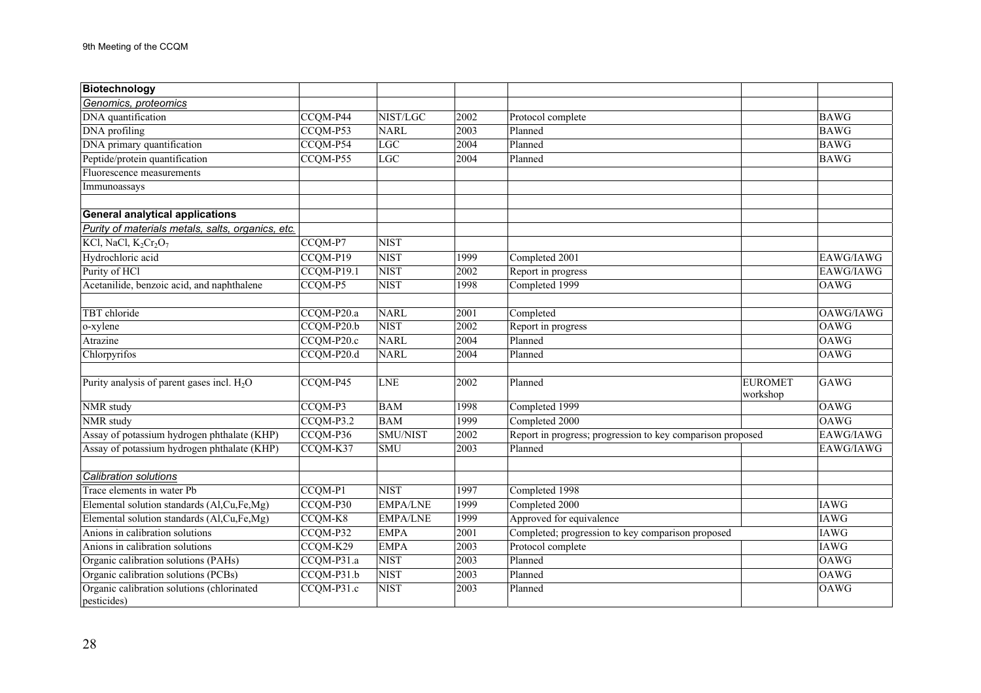| Biotechnology                                             |                         |                 |              |                                                                       |                |             |
|-----------------------------------------------------------|-------------------------|-----------------|--------------|-----------------------------------------------------------------------|----------------|-------------|
| Genomics, proteomics                                      |                         |                 |              |                                                                       |                |             |
| DNA quantification                                        | CCQM-P44                | NIST/LGC        | 2002         | Protocol complete                                                     |                | <b>BAWG</b> |
| <b>DNA</b> profiling                                      | CCQM-P53                | <b>NARL</b>     | 2003         | Planned                                                               |                | <b>BAWG</b> |
| DNA primary quantification                                | CCQM-P54                | LGC             | 2004         | Planned                                                               |                | <b>BAWG</b> |
| Peptide/protein quantification                            | CCQM-P55                | LGC             | 2004         | Planned                                                               |                | <b>BAWG</b> |
| Fluorescence measurements                                 |                         |                 |              |                                                                       |                |             |
| Immunoassays                                              |                         |                 |              |                                                                       |                |             |
|                                                           |                         |                 |              |                                                                       |                |             |
| <b>General analytical applications</b>                    |                         |                 |              |                                                                       |                |             |
| Purity of materials metals, salts, organics, etc.         |                         |                 |              |                                                                       |                |             |
| KCl, NaCl, K <sub>2</sub> Cr <sub>2</sub> O <sub>7</sub>  | CCQM-P7                 | <b>NIST</b>     |              |                                                                       |                |             |
| Hydrochloric acid                                         | CCQM-P19                | <b>NIST</b>     | 1999         | Completed 2001                                                        |                | EAWG/IAWG   |
| Purity of HCl                                             | CCQM-P19.1              | <b>NIST</b>     | 2002         | Report in progress                                                    |                | EAWG/IAWG   |
| Acetanilide, benzoic acid, and naphthalene                | CCQM-P5                 | <b>NIST</b>     | 1998         | Completed 1999                                                        |                | OAWG        |
|                                                           |                         |                 |              |                                                                       |                |             |
| TBT chloride                                              | CCQM-P20.a              | <b>NARL</b>     | 2001         | Completed                                                             |                | OAWG/IAWG   |
| o-xylene                                                  | $CCQM-P20.b$            | <b>NIST</b>     | 2002         | Report in progress                                                    |                | <b>OAWG</b> |
| Atrazine                                                  | CCQM-P20.c              | <b>NARL</b>     | 2004         | Planned                                                               |                | OAWG        |
| Chlorpyrifos                                              | CCQM-P20.d              | <b>NARL</b>     | 2004         | Planned                                                               |                | <b>OAWG</b> |
|                                                           |                         |                 |              |                                                                       |                |             |
| Purity analysis of parent gases incl. $H_2O$              | CCQM-P45                | <b>LNE</b>      | 2002         | Planned                                                               | <b>EUROMET</b> | <b>GAWG</b> |
|                                                           | CCQM-P3                 | <b>BAM</b>      |              |                                                                       | workshop       | <b>OAWG</b> |
| NMR study<br>NMR study                                    |                         | <b>BAM</b>      | 1998<br>1999 | Completed 1999<br>Completed 2000                                      |                | <b>OAWG</b> |
| Assay of potassium hydrogen phthalate (KHP)               | $CCQM-P3.2$<br>CCQM-P36 | SMU/NIST        | 2002         |                                                                       |                | EAWG/IAWG   |
|                                                           |                         | <b>SMU</b>      | 2003         | Report in progress; progression to key comparison proposed<br>Planned |                |             |
| Assay of potassium hydrogen phthalate (KHP)               | CCQM-K37                |                 |              |                                                                       |                | EAWG/IAWG   |
| <b>Calibration solutions</b>                              |                         |                 |              |                                                                       |                |             |
| Trace elements in water Pb                                | CCQM-P1                 | <b>NIST</b>     | 1997         | Completed 1998                                                        |                |             |
| Elemental solution standards (Al,Cu,Fe,Mg)                | CCQM-P30                | <b>EMPA/LNE</b> | 1999         | Completed 2000                                                        |                | <b>IAWG</b> |
| Elemental solution standards (Al,Cu,Fe,Mg)                | CCQM-K8                 | <b>EMPA/LNE</b> | 1999         | Approved for equivalence                                              |                | <b>IAWG</b> |
| Anions in calibration solutions                           | CCQM-P32                | <b>EMPA</b>     | 2001         | Completed; progression to key comparison proposed                     |                | <b>IAWG</b> |
| Anions in calibration solutions                           | CCQM-K29                | <b>EMPA</b>     | 2003         | Protocol complete                                                     |                | <b>IAWG</b> |
| Organic calibration solutions (PAHs)                      | CCQM-P31.a              | <b>NIST</b>     | 2003         | Planned                                                               |                | <b>OAWG</b> |
| Organic calibration solutions (PCBs)                      | CCQM-P31.b              | <b>NIST</b>     | 2003         | Planned                                                               |                | <b>OAWG</b> |
| Organic calibration solutions (chlorinated<br>pesticides) | CCQM-P31.c              | <b>NIST</b>     | 2003         | Planned                                                               |                | <b>OAWG</b> |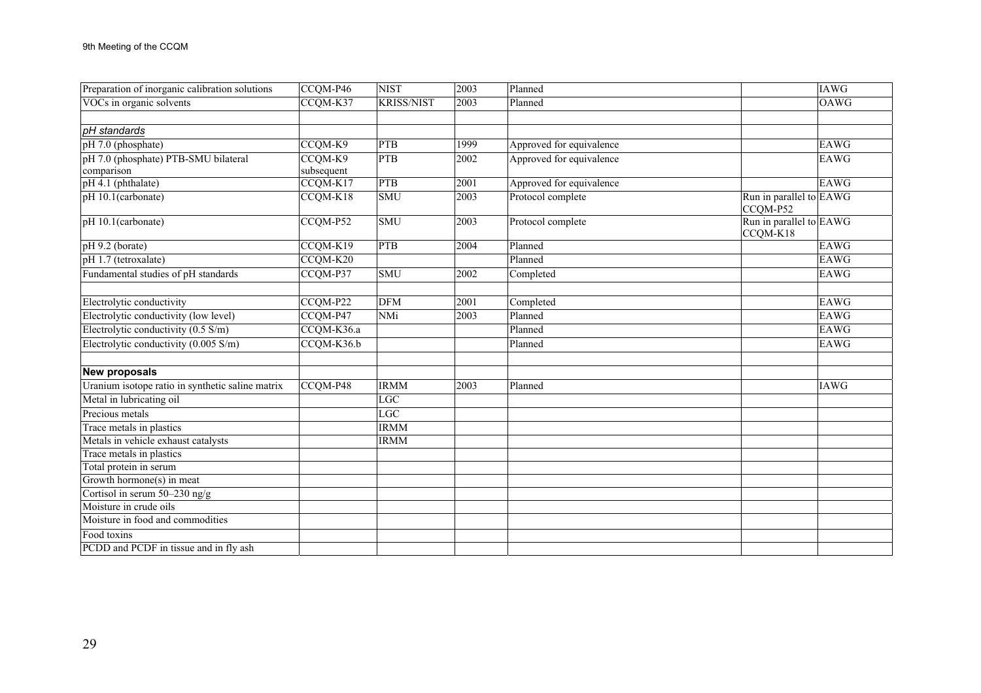| Preparation of inorganic calibration solutions   | CCQM-P46   | <b>NIST</b>       | 2003              | Planned                                                  | <b>IAWG</b> |
|--------------------------------------------------|------------|-------------------|-------------------|----------------------------------------------------------|-------------|
| VOCs in organic solvents                         | CCOM-K37   | <b>KRISS/NIST</b> | 2003              | Planned                                                  | <b>OAWG</b> |
|                                                  |            |                   |                   |                                                          |             |
| pH standards                                     |            |                   |                   |                                                          |             |
| pH 7.0 (phosphate)                               | CCQM-K9    | <b>PTB</b>        | 1999              | Approved for equivalence                                 | EAWG        |
| pH 7.0 (phosphate) PTB-SMU bilateral             | CCQM-K9    | <b>PTB</b>        | 2002              | Approved for equivalence                                 | <b>EAWG</b> |
| comparison                                       | subsequent |                   |                   |                                                          |             |
| pH 4.1 (phthalate)                               | CCQM-K17   | <b>PTB</b>        | 2001              | Approved for equivalence                                 | EAWG        |
| pH 10.1(carbonate)                               | CCQM-K18   | <b>SMU</b>        | $200\overline{3}$ | Protocol complete<br>Run in parallel to EAWG<br>CCQM-P52 |             |
| pH 10.1(carbonate)                               | CCQM-P52   | <b>SMU</b>        | 2003              | Run in parallel to EAWG<br>Protocol complete<br>CCQM-K18 |             |
| pH 9.2 (borate)                                  | CCQM-K19   | <b>PTB</b>        | 2004              | Planned                                                  | <b>EAWG</b> |
| pH 1.7 (tetroxalate)                             | CCQM-K20   |                   |                   | Planned                                                  | EAWG        |
| Fundamental studies of pH standards              | CCQM-P37   | <b>SMU</b>        | 2002              | Completed                                                | <b>EAWG</b> |
|                                                  |            |                   |                   |                                                          |             |
| Electrolytic conductivity                        | CCQM-P22   | <b>DFM</b>        | 2001              | Completed                                                | <b>EAWG</b> |
| Electrolytic conductivity (low level)            | CCQM-P47   | <b>NMi</b>        | 2003              | Planned                                                  | <b>EAWG</b> |
| Electrolytic conductivity (0.5 S/m)              | CCQM-K36.a |                   |                   | Planned                                                  | EAWG        |
| Electrolytic conductivity (0.005 S/m)            | CCQM-K36.b |                   |                   | Planned                                                  | EAWG        |
|                                                  |            |                   |                   |                                                          |             |
| <b>New proposals</b>                             |            |                   |                   |                                                          |             |
| Uranium isotope ratio in synthetic saline matrix | CCQM-P48   | <b>IRMM</b>       | 2003              | Planned                                                  | <b>IAWG</b> |
| Metal in lubricating oil                         |            | <b>LGC</b>        |                   |                                                          |             |
| Precious metals                                  |            | <b>LGC</b>        |                   |                                                          |             |
| Trace metals in plastics                         |            | <b>IRMM</b>       |                   |                                                          |             |
| Metals in vehicle exhaust catalysts              |            | <b>IRMM</b>       |                   |                                                          |             |
| Trace metals in plastics                         |            |                   |                   |                                                          |             |
| Total protein in serum                           |            |                   |                   |                                                          |             |
| Growth hormone(s) in meat                        |            |                   |                   |                                                          |             |
| Cortisol in serum 50-230 ng/g                    |            |                   |                   |                                                          |             |
| Moisture in crude oils                           |            |                   |                   |                                                          |             |
| Moisture in food and commodities                 |            |                   |                   |                                                          |             |
| Food toxins                                      |            |                   |                   |                                                          |             |
| PCDD and PCDF in tissue and in fly ash           |            |                   |                   |                                                          |             |